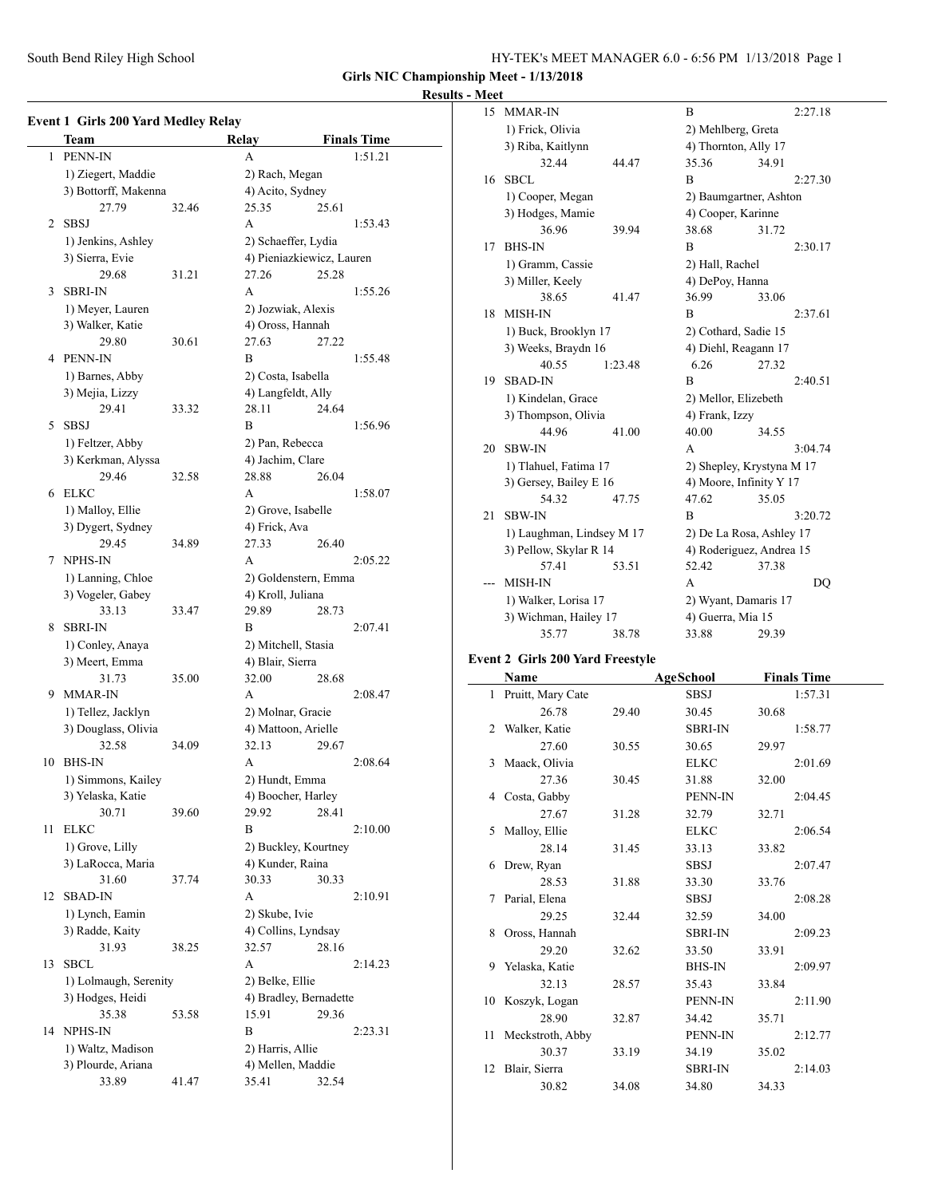|  |  | HY-TEK's MEET MANAGER 6.0 - 6:56 PM 1/13/2018 Page 1 |  |  |  |  |
|--|--|------------------------------------------------------|--|--|--|--|
|--|--|------------------------------------------------------|--|--|--|--|

# **Results - Meet**

| PENN-IN<br>1<br>A<br>1) Ziegert, Maddie<br>2) Rach, Megan<br>4) Acito, Sydney<br>3) Bottorff, Makenna<br>27.79<br>25.35<br>32.46<br>25.61<br><b>SBSJ</b><br>A<br>2<br>1) Jenkins, Ashley<br>2) Schaeffer, Lydia<br>3) Sierra, Evie<br>4) Pieniazkiewicz, Lauren<br>29.68<br>27.26<br>25.28<br>31.21<br>3<br><b>SBRI-IN</b><br>A<br>1) Meyer, Lauren<br>2) Jozwiak, Alexis<br>3) Walker, Katie<br>4) Oross, Hannah<br>27.63<br>29.80<br>30.61<br>27.22<br><b>PENN-IN</b><br>B<br>4<br>1) Barnes, Abby<br>2) Costa, Isabella<br>3) Mejia, Lizzy<br>4) Langfeldt, Ally<br>29.41<br>33.32<br>28.11<br>24.64<br><b>SBSJ</b><br>B<br>5<br>1) Feltzer, Abby<br>2) Pan, Rebecca<br>3) Kerkman, Alyssa<br>4) Jachim, Clare<br>29.46<br>32.58<br>28.88<br>26.04<br><b>ELKC</b><br>6<br>А<br>1) Malloy, Ellie<br>2) Grove, Isabelle<br>3) Dygert, Sydney<br>4) Frick, Ava<br>29.45<br>27.33<br>26.40<br>34.89<br>NPHS-IN<br>A<br>7<br>1) Lanning, Chloe<br>2) Goldenstern, Emma<br>3) Vogeler, Gabey<br>4) Kroll, Juliana<br>33.13<br>33.47<br>29.89<br>28.73<br><b>SBRI-IN</b><br>B<br>8<br>1) Conley, Anaya<br>2) Mitchell, Stasia<br>3) Meert, Emma<br>4) Blair, Sierra<br>31.73<br>35.00<br>32.00<br>28.68<br>9<br><b>MMAR-IN</b><br>A<br>1) Tellez, Jacklyn<br>2) Molnar, Gracie<br>3) Douglass, Olivia<br>4) Mattoon, Arielle<br>32.58<br>32.13<br>34.09<br>29.67<br>10<br><b>BHS-IN</b><br>А<br>1) Simmons, Kailey<br>2) Hundt, Emma<br>4) Boocher, Harley<br>3) Yelaska, Katie<br>30.71<br>29.92<br>39.60<br>28.41<br>11<br><b>ELKC</b><br>B<br>1) Grove, Lilly<br>2) Buckley, Kourtney<br>3) LaRocca, Maria<br>4) Kunder, Raina<br>31.60<br>30.33<br>30.33<br>37.74<br>A<br>12<br><b>SBAD-IN</b><br>1) Lynch, Eamin<br>2) Skube, Ivie<br>3) Radde, Kaity<br>4) Collins, Lyndsay<br>31.93<br>32.57<br>28.16<br>38.25<br><b>SBCL</b><br>А<br>13<br>1) Lolmaugh, Serenity<br>2) Belke, Ellie<br>3) Hodges, Heidi<br>4) Bradley, Bernadette<br>35.38<br>15.91<br>29.36<br>53.58<br>NPHS-IN<br>B<br>14<br>2:23.31 | <b>Event 1 Girls 200 Yard Medley Relay</b><br>Team | <b>Relay</b> | <b>Finals Time</b> |
|------------------------------------------------------------------------------------------------------------------------------------------------------------------------------------------------------------------------------------------------------------------------------------------------------------------------------------------------------------------------------------------------------------------------------------------------------------------------------------------------------------------------------------------------------------------------------------------------------------------------------------------------------------------------------------------------------------------------------------------------------------------------------------------------------------------------------------------------------------------------------------------------------------------------------------------------------------------------------------------------------------------------------------------------------------------------------------------------------------------------------------------------------------------------------------------------------------------------------------------------------------------------------------------------------------------------------------------------------------------------------------------------------------------------------------------------------------------------------------------------------------------------------------------------------------------------------------------------------------------------------------------------------------------------------------------------------------------------------------------------------------------------------------------------------------------------------------------------------------------------------------------------------------------------------------------------------------------------------------------------------------|----------------------------------------------------|--------------|--------------------|
|                                                                                                                                                                                                                                                                                                                                                                                                                                                                                                                                                                                                                                                                                                                                                                                                                                                                                                                                                                                                                                                                                                                                                                                                                                                                                                                                                                                                                                                                                                                                                                                                                                                                                                                                                                                                                                                                                                                                                                                                            |                                                    |              | 1:51.21            |
|                                                                                                                                                                                                                                                                                                                                                                                                                                                                                                                                                                                                                                                                                                                                                                                                                                                                                                                                                                                                                                                                                                                                                                                                                                                                                                                                                                                                                                                                                                                                                                                                                                                                                                                                                                                                                                                                                                                                                                                                            |                                                    |              |                    |
|                                                                                                                                                                                                                                                                                                                                                                                                                                                                                                                                                                                                                                                                                                                                                                                                                                                                                                                                                                                                                                                                                                                                                                                                                                                                                                                                                                                                                                                                                                                                                                                                                                                                                                                                                                                                                                                                                                                                                                                                            |                                                    |              |                    |
|                                                                                                                                                                                                                                                                                                                                                                                                                                                                                                                                                                                                                                                                                                                                                                                                                                                                                                                                                                                                                                                                                                                                                                                                                                                                                                                                                                                                                                                                                                                                                                                                                                                                                                                                                                                                                                                                                                                                                                                                            |                                                    |              |                    |
|                                                                                                                                                                                                                                                                                                                                                                                                                                                                                                                                                                                                                                                                                                                                                                                                                                                                                                                                                                                                                                                                                                                                                                                                                                                                                                                                                                                                                                                                                                                                                                                                                                                                                                                                                                                                                                                                                                                                                                                                            |                                                    |              |                    |
|                                                                                                                                                                                                                                                                                                                                                                                                                                                                                                                                                                                                                                                                                                                                                                                                                                                                                                                                                                                                                                                                                                                                                                                                                                                                                                                                                                                                                                                                                                                                                                                                                                                                                                                                                                                                                                                                                                                                                                                                            |                                                    |              | 1:53.43            |
|                                                                                                                                                                                                                                                                                                                                                                                                                                                                                                                                                                                                                                                                                                                                                                                                                                                                                                                                                                                                                                                                                                                                                                                                                                                                                                                                                                                                                                                                                                                                                                                                                                                                                                                                                                                                                                                                                                                                                                                                            |                                                    |              |                    |
|                                                                                                                                                                                                                                                                                                                                                                                                                                                                                                                                                                                                                                                                                                                                                                                                                                                                                                                                                                                                                                                                                                                                                                                                                                                                                                                                                                                                                                                                                                                                                                                                                                                                                                                                                                                                                                                                                                                                                                                                            |                                                    |              |                    |
|                                                                                                                                                                                                                                                                                                                                                                                                                                                                                                                                                                                                                                                                                                                                                                                                                                                                                                                                                                                                                                                                                                                                                                                                                                                                                                                                                                                                                                                                                                                                                                                                                                                                                                                                                                                                                                                                                                                                                                                                            |                                                    |              |                    |
|                                                                                                                                                                                                                                                                                                                                                                                                                                                                                                                                                                                                                                                                                                                                                                                                                                                                                                                                                                                                                                                                                                                                                                                                                                                                                                                                                                                                                                                                                                                                                                                                                                                                                                                                                                                                                                                                                                                                                                                                            |                                                    |              | 1:55.26            |
|                                                                                                                                                                                                                                                                                                                                                                                                                                                                                                                                                                                                                                                                                                                                                                                                                                                                                                                                                                                                                                                                                                                                                                                                                                                                                                                                                                                                                                                                                                                                                                                                                                                                                                                                                                                                                                                                                                                                                                                                            |                                                    |              |                    |
|                                                                                                                                                                                                                                                                                                                                                                                                                                                                                                                                                                                                                                                                                                                                                                                                                                                                                                                                                                                                                                                                                                                                                                                                                                                                                                                                                                                                                                                                                                                                                                                                                                                                                                                                                                                                                                                                                                                                                                                                            |                                                    |              |                    |
|                                                                                                                                                                                                                                                                                                                                                                                                                                                                                                                                                                                                                                                                                                                                                                                                                                                                                                                                                                                                                                                                                                                                                                                                                                                                                                                                                                                                                                                                                                                                                                                                                                                                                                                                                                                                                                                                                                                                                                                                            |                                                    |              |                    |
|                                                                                                                                                                                                                                                                                                                                                                                                                                                                                                                                                                                                                                                                                                                                                                                                                                                                                                                                                                                                                                                                                                                                                                                                                                                                                                                                                                                                                                                                                                                                                                                                                                                                                                                                                                                                                                                                                                                                                                                                            |                                                    |              | 1:55.48            |
|                                                                                                                                                                                                                                                                                                                                                                                                                                                                                                                                                                                                                                                                                                                                                                                                                                                                                                                                                                                                                                                                                                                                                                                                                                                                                                                                                                                                                                                                                                                                                                                                                                                                                                                                                                                                                                                                                                                                                                                                            |                                                    |              |                    |
|                                                                                                                                                                                                                                                                                                                                                                                                                                                                                                                                                                                                                                                                                                                                                                                                                                                                                                                                                                                                                                                                                                                                                                                                                                                                                                                                                                                                                                                                                                                                                                                                                                                                                                                                                                                                                                                                                                                                                                                                            |                                                    |              |                    |
|                                                                                                                                                                                                                                                                                                                                                                                                                                                                                                                                                                                                                                                                                                                                                                                                                                                                                                                                                                                                                                                                                                                                                                                                                                                                                                                                                                                                                                                                                                                                                                                                                                                                                                                                                                                                                                                                                                                                                                                                            |                                                    |              |                    |
|                                                                                                                                                                                                                                                                                                                                                                                                                                                                                                                                                                                                                                                                                                                                                                                                                                                                                                                                                                                                                                                                                                                                                                                                                                                                                                                                                                                                                                                                                                                                                                                                                                                                                                                                                                                                                                                                                                                                                                                                            |                                                    |              | 1:56.96            |
|                                                                                                                                                                                                                                                                                                                                                                                                                                                                                                                                                                                                                                                                                                                                                                                                                                                                                                                                                                                                                                                                                                                                                                                                                                                                                                                                                                                                                                                                                                                                                                                                                                                                                                                                                                                                                                                                                                                                                                                                            |                                                    |              |                    |
|                                                                                                                                                                                                                                                                                                                                                                                                                                                                                                                                                                                                                                                                                                                                                                                                                                                                                                                                                                                                                                                                                                                                                                                                                                                                                                                                                                                                                                                                                                                                                                                                                                                                                                                                                                                                                                                                                                                                                                                                            |                                                    |              |                    |
|                                                                                                                                                                                                                                                                                                                                                                                                                                                                                                                                                                                                                                                                                                                                                                                                                                                                                                                                                                                                                                                                                                                                                                                                                                                                                                                                                                                                                                                                                                                                                                                                                                                                                                                                                                                                                                                                                                                                                                                                            |                                                    |              |                    |
|                                                                                                                                                                                                                                                                                                                                                                                                                                                                                                                                                                                                                                                                                                                                                                                                                                                                                                                                                                                                                                                                                                                                                                                                                                                                                                                                                                                                                                                                                                                                                                                                                                                                                                                                                                                                                                                                                                                                                                                                            |                                                    |              | 1:58.07            |
|                                                                                                                                                                                                                                                                                                                                                                                                                                                                                                                                                                                                                                                                                                                                                                                                                                                                                                                                                                                                                                                                                                                                                                                                                                                                                                                                                                                                                                                                                                                                                                                                                                                                                                                                                                                                                                                                                                                                                                                                            |                                                    |              |                    |
|                                                                                                                                                                                                                                                                                                                                                                                                                                                                                                                                                                                                                                                                                                                                                                                                                                                                                                                                                                                                                                                                                                                                                                                                                                                                                                                                                                                                                                                                                                                                                                                                                                                                                                                                                                                                                                                                                                                                                                                                            |                                                    |              |                    |
|                                                                                                                                                                                                                                                                                                                                                                                                                                                                                                                                                                                                                                                                                                                                                                                                                                                                                                                                                                                                                                                                                                                                                                                                                                                                                                                                                                                                                                                                                                                                                                                                                                                                                                                                                                                                                                                                                                                                                                                                            |                                                    |              |                    |
|                                                                                                                                                                                                                                                                                                                                                                                                                                                                                                                                                                                                                                                                                                                                                                                                                                                                                                                                                                                                                                                                                                                                                                                                                                                                                                                                                                                                                                                                                                                                                                                                                                                                                                                                                                                                                                                                                                                                                                                                            |                                                    |              | 2:05.22            |
|                                                                                                                                                                                                                                                                                                                                                                                                                                                                                                                                                                                                                                                                                                                                                                                                                                                                                                                                                                                                                                                                                                                                                                                                                                                                                                                                                                                                                                                                                                                                                                                                                                                                                                                                                                                                                                                                                                                                                                                                            |                                                    |              |                    |
|                                                                                                                                                                                                                                                                                                                                                                                                                                                                                                                                                                                                                                                                                                                                                                                                                                                                                                                                                                                                                                                                                                                                                                                                                                                                                                                                                                                                                                                                                                                                                                                                                                                                                                                                                                                                                                                                                                                                                                                                            |                                                    |              |                    |
|                                                                                                                                                                                                                                                                                                                                                                                                                                                                                                                                                                                                                                                                                                                                                                                                                                                                                                                                                                                                                                                                                                                                                                                                                                                                                                                                                                                                                                                                                                                                                                                                                                                                                                                                                                                                                                                                                                                                                                                                            |                                                    |              |                    |
|                                                                                                                                                                                                                                                                                                                                                                                                                                                                                                                                                                                                                                                                                                                                                                                                                                                                                                                                                                                                                                                                                                                                                                                                                                                                                                                                                                                                                                                                                                                                                                                                                                                                                                                                                                                                                                                                                                                                                                                                            |                                                    |              |                    |
|                                                                                                                                                                                                                                                                                                                                                                                                                                                                                                                                                                                                                                                                                                                                                                                                                                                                                                                                                                                                                                                                                                                                                                                                                                                                                                                                                                                                                                                                                                                                                                                                                                                                                                                                                                                                                                                                                                                                                                                                            |                                                    |              | 2:07.41            |
|                                                                                                                                                                                                                                                                                                                                                                                                                                                                                                                                                                                                                                                                                                                                                                                                                                                                                                                                                                                                                                                                                                                                                                                                                                                                                                                                                                                                                                                                                                                                                                                                                                                                                                                                                                                                                                                                                                                                                                                                            |                                                    |              |                    |
|                                                                                                                                                                                                                                                                                                                                                                                                                                                                                                                                                                                                                                                                                                                                                                                                                                                                                                                                                                                                                                                                                                                                                                                                                                                                                                                                                                                                                                                                                                                                                                                                                                                                                                                                                                                                                                                                                                                                                                                                            |                                                    |              |                    |
|                                                                                                                                                                                                                                                                                                                                                                                                                                                                                                                                                                                                                                                                                                                                                                                                                                                                                                                                                                                                                                                                                                                                                                                                                                                                                                                                                                                                                                                                                                                                                                                                                                                                                                                                                                                                                                                                                                                                                                                                            |                                                    |              |                    |
|                                                                                                                                                                                                                                                                                                                                                                                                                                                                                                                                                                                                                                                                                                                                                                                                                                                                                                                                                                                                                                                                                                                                                                                                                                                                                                                                                                                                                                                                                                                                                                                                                                                                                                                                                                                                                                                                                                                                                                                                            |                                                    |              | 2:08.47            |
|                                                                                                                                                                                                                                                                                                                                                                                                                                                                                                                                                                                                                                                                                                                                                                                                                                                                                                                                                                                                                                                                                                                                                                                                                                                                                                                                                                                                                                                                                                                                                                                                                                                                                                                                                                                                                                                                                                                                                                                                            |                                                    |              |                    |
|                                                                                                                                                                                                                                                                                                                                                                                                                                                                                                                                                                                                                                                                                                                                                                                                                                                                                                                                                                                                                                                                                                                                                                                                                                                                                                                                                                                                                                                                                                                                                                                                                                                                                                                                                                                                                                                                                                                                                                                                            |                                                    |              |                    |
|                                                                                                                                                                                                                                                                                                                                                                                                                                                                                                                                                                                                                                                                                                                                                                                                                                                                                                                                                                                                                                                                                                                                                                                                                                                                                                                                                                                                                                                                                                                                                                                                                                                                                                                                                                                                                                                                                                                                                                                                            |                                                    |              |                    |
|                                                                                                                                                                                                                                                                                                                                                                                                                                                                                                                                                                                                                                                                                                                                                                                                                                                                                                                                                                                                                                                                                                                                                                                                                                                                                                                                                                                                                                                                                                                                                                                                                                                                                                                                                                                                                                                                                                                                                                                                            |                                                    |              | 2:08.64            |
|                                                                                                                                                                                                                                                                                                                                                                                                                                                                                                                                                                                                                                                                                                                                                                                                                                                                                                                                                                                                                                                                                                                                                                                                                                                                                                                                                                                                                                                                                                                                                                                                                                                                                                                                                                                                                                                                                                                                                                                                            |                                                    |              |                    |
|                                                                                                                                                                                                                                                                                                                                                                                                                                                                                                                                                                                                                                                                                                                                                                                                                                                                                                                                                                                                                                                                                                                                                                                                                                                                                                                                                                                                                                                                                                                                                                                                                                                                                                                                                                                                                                                                                                                                                                                                            |                                                    |              |                    |
|                                                                                                                                                                                                                                                                                                                                                                                                                                                                                                                                                                                                                                                                                                                                                                                                                                                                                                                                                                                                                                                                                                                                                                                                                                                                                                                                                                                                                                                                                                                                                                                                                                                                                                                                                                                                                                                                                                                                                                                                            |                                                    |              |                    |
|                                                                                                                                                                                                                                                                                                                                                                                                                                                                                                                                                                                                                                                                                                                                                                                                                                                                                                                                                                                                                                                                                                                                                                                                                                                                                                                                                                                                                                                                                                                                                                                                                                                                                                                                                                                                                                                                                                                                                                                                            |                                                    |              | 2:10.00            |
|                                                                                                                                                                                                                                                                                                                                                                                                                                                                                                                                                                                                                                                                                                                                                                                                                                                                                                                                                                                                                                                                                                                                                                                                                                                                                                                                                                                                                                                                                                                                                                                                                                                                                                                                                                                                                                                                                                                                                                                                            |                                                    |              |                    |
|                                                                                                                                                                                                                                                                                                                                                                                                                                                                                                                                                                                                                                                                                                                                                                                                                                                                                                                                                                                                                                                                                                                                                                                                                                                                                                                                                                                                                                                                                                                                                                                                                                                                                                                                                                                                                                                                                                                                                                                                            |                                                    |              |                    |
|                                                                                                                                                                                                                                                                                                                                                                                                                                                                                                                                                                                                                                                                                                                                                                                                                                                                                                                                                                                                                                                                                                                                                                                                                                                                                                                                                                                                                                                                                                                                                                                                                                                                                                                                                                                                                                                                                                                                                                                                            |                                                    |              |                    |
|                                                                                                                                                                                                                                                                                                                                                                                                                                                                                                                                                                                                                                                                                                                                                                                                                                                                                                                                                                                                                                                                                                                                                                                                                                                                                                                                                                                                                                                                                                                                                                                                                                                                                                                                                                                                                                                                                                                                                                                                            |                                                    |              | 2:10.91            |
|                                                                                                                                                                                                                                                                                                                                                                                                                                                                                                                                                                                                                                                                                                                                                                                                                                                                                                                                                                                                                                                                                                                                                                                                                                                                                                                                                                                                                                                                                                                                                                                                                                                                                                                                                                                                                                                                                                                                                                                                            |                                                    |              |                    |
|                                                                                                                                                                                                                                                                                                                                                                                                                                                                                                                                                                                                                                                                                                                                                                                                                                                                                                                                                                                                                                                                                                                                                                                                                                                                                                                                                                                                                                                                                                                                                                                                                                                                                                                                                                                                                                                                                                                                                                                                            |                                                    |              |                    |
|                                                                                                                                                                                                                                                                                                                                                                                                                                                                                                                                                                                                                                                                                                                                                                                                                                                                                                                                                                                                                                                                                                                                                                                                                                                                                                                                                                                                                                                                                                                                                                                                                                                                                                                                                                                                                                                                                                                                                                                                            |                                                    |              |                    |
|                                                                                                                                                                                                                                                                                                                                                                                                                                                                                                                                                                                                                                                                                                                                                                                                                                                                                                                                                                                                                                                                                                                                                                                                                                                                                                                                                                                                                                                                                                                                                                                                                                                                                                                                                                                                                                                                                                                                                                                                            |                                                    |              | 2:14.23            |
|                                                                                                                                                                                                                                                                                                                                                                                                                                                                                                                                                                                                                                                                                                                                                                                                                                                                                                                                                                                                                                                                                                                                                                                                                                                                                                                                                                                                                                                                                                                                                                                                                                                                                                                                                                                                                                                                                                                                                                                                            |                                                    |              |                    |
|                                                                                                                                                                                                                                                                                                                                                                                                                                                                                                                                                                                                                                                                                                                                                                                                                                                                                                                                                                                                                                                                                                                                                                                                                                                                                                                                                                                                                                                                                                                                                                                                                                                                                                                                                                                                                                                                                                                                                                                                            |                                                    |              |                    |
|                                                                                                                                                                                                                                                                                                                                                                                                                                                                                                                                                                                                                                                                                                                                                                                                                                                                                                                                                                                                                                                                                                                                                                                                                                                                                                                                                                                                                                                                                                                                                                                                                                                                                                                                                                                                                                                                                                                                                                                                            |                                                    |              |                    |
|                                                                                                                                                                                                                                                                                                                                                                                                                                                                                                                                                                                                                                                                                                                                                                                                                                                                                                                                                                                                                                                                                                                                                                                                                                                                                                                                                                                                                                                                                                                                                                                                                                                                                                                                                                                                                                                                                                                                                                                                            |                                                    |              |                    |
|                                                                                                                                                                                                                                                                                                                                                                                                                                                                                                                                                                                                                                                                                                                                                                                                                                                                                                                                                                                                                                                                                                                                                                                                                                                                                                                                                                                                                                                                                                                                                                                                                                                                                                                                                                                                                                                                                                                                                                                                            |                                                    |              |                    |
| 2) Harris, Allie                                                                                                                                                                                                                                                                                                                                                                                                                                                                                                                                                                                                                                                                                                                                                                                                                                                                                                                                                                                                                                                                                                                                                                                                                                                                                                                                                                                                                                                                                                                                                                                                                                                                                                                                                                                                                                                                                                                                                                                           | 1) Waltz, Madison                                  |              |                    |
| 3) Plourde, Ariana<br>4) Mellen, Maddie                                                                                                                                                                                                                                                                                                                                                                                                                                                                                                                                                                                                                                                                                                                                                                                                                                                                                                                                                                                                                                                                                                                                                                                                                                                                                                                                                                                                                                                                                                                                                                                                                                                                                                                                                                                                                                                                                                                                                                    |                                                    |              |                    |
| 33.89<br>35.41<br>32.54<br>41.47                                                                                                                                                                                                                                                                                                                                                                                                                                                                                                                                                                                                                                                                                                                                                                                                                                                                                                                                                                                                                                                                                                                                                                                                                                                                                                                                                                                                                                                                                                                                                                                                                                                                                                                                                                                                                                                                                                                                                                           |                                                    |              |                    |

|     | Name                           |         | AgeSchool            | <b>Finals Time</b>        |  |  |
|-----|--------------------------------|---------|----------------------|---------------------------|--|--|
|     | ent 2 Girls 200 Yard Freestyle |         |                      |                           |  |  |
|     | 35.77                          | 38.78   | 33.88                | 29.39                     |  |  |
|     | 3) Wichman, Hailey 17          |         | 4) Guerra, Mia 15    |                           |  |  |
|     | 1) Walker, Lorisa 17           |         |                      | 2) Wyant, Damaris 17      |  |  |
| --- | MISH-IN                        |         | A                    | D <sub>O</sub>            |  |  |
|     | 57.41                          | 53.51   | 52.42                | 37.38                     |  |  |
|     | 3) Pellow, Skylar R 14         |         |                      | 4) Roderiguez, Andrea 15  |  |  |
|     | 1) Laughman, Lindsey M 17      |         |                      | 2) De La Rosa, Ashley 17  |  |  |
| 21  | <b>SBW-IN</b>                  |         | B                    | 3:20.72                   |  |  |
|     | 54.32                          | 47.75   | 47.62                | 35.05                     |  |  |
|     | 3) Gersey, Bailey E 16         |         |                      | 4) Moore, Infinity Y 17   |  |  |
|     | 1) Tlahuel, Fatima 17          |         |                      | 2) Shepley, Krystyna M 17 |  |  |
| 20  | <b>SBW-IN</b>                  |         | A                    | 3:04.74                   |  |  |
|     | 44.96                          | 41.00   | 40.00                | 34.55                     |  |  |
|     | 3) Thompson, Olivia            |         | 4) Frank, Izzy       |                           |  |  |
|     | 1) Kindelan, Grace             |         | 2) Mellor, Elizebeth |                           |  |  |
| 19  | <b>SBAD-IN</b>                 |         | B                    | 2:40.51                   |  |  |
|     | 40.55                          | 1:23.48 | 6.26                 | 27.32                     |  |  |
|     | 3) Weeks, Braydn 16            |         |                      | 4) Diehl, Reagann 17      |  |  |
|     | 1) Buck, Brooklyn 17           |         | 2) Cothard, Sadie 15 |                           |  |  |
| 18  | <b>MISH-IN</b>                 |         | B                    | 2:37.61                   |  |  |
|     | 38.65                          | 41.47   | 36.99                | 33.06                     |  |  |
|     | 3) Miller, Keely               |         | 4) DePoy, Hanna      |                           |  |  |
|     | 1) Gramm, Cassie               |         | 2) Hall, Rachel      |                           |  |  |
| 17  | <b>BHS-IN</b>                  |         | B                    | 2:30.17                   |  |  |
|     | 36.96                          | 39.94   | 38.68                | 31.72                     |  |  |
|     | 3) Hodges, Mamie               |         | 4) Cooper, Karinne   |                           |  |  |
|     | 1) Cooper, Megan               |         |                      | 2) Baumgartner, Ashton    |  |  |
| 16  | SBCL                           |         | B                    | 2:27.30                   |  |  |
|     | 32.44                          | 44.47   | 35.36                | 34.91                     |  |  |
|     | 3) Riba, Kaitlynn              |         | 4) Thornton, Ally 17 |                           |  |  |
|     | 1) Frick, Olivia               |         | 2) Mehlberg, Greta   |                           |  |  |
| 15  | <b>MMAR-IN</b>                 |         | B                    | 2:27.18                   |  |  |

#### **Event 2 Girls 200 Yard Freestyle**

|              | <b>Name</b>       |       | AgeSchool      | <b>Finals Time</b> |  |
|--------------|-------------------|-------|----------------|--------------------|--|
| $\mathbf{1}$ | Pruitt, Mary Cate |       | <b>SBSJ</b>    | 1:57.31            |  |
|              | 26.78             | 29.40 | 30.45          | 30.68              |  |
|              | 2 Walker, Katie   |       | <b>SBRI-IN</b> | 1:58.77            |  |
|              | 27.60             | 30.55 | 30.65          | 29.97              |  |
| 3            | Maack, Olivia     |       | <b>ELKC</b>    | 2:01.69            |  |
|              | 27.36             | 30.45 | 31.88          | 32.00              |  |
|              | 4 Costa, Gabby    |       | PENN-IN        | 2:04.45            |  |
|              | 27.67             | 31.28 | 32.79          | 32.71              |  |
| 5            | Malloy, Ellie     |       | <b>ELKC</b>    | 2:06.54            |  |
|              | 28.14             | 31.45 | 33.13          | 33.82              |  |
|              | 6 Drew, Ryan      |       | SBSJ           | 2:07.47            |  |
|              | 28.53             | 31.88 | 33.30          | 33.76              |  |
| 7            | Parial, Elena     |       | SBSJ           | 2:08.28            |  |
|              | 29.25             | 32.44 | 32.59          | 34.00              |  |
| 8            | Oross, Hannah     |       | <b>SBRI-IN</b> | 2:09.23            |  |
|              | 29.20             | 32.62 | 33.50          | 33.91              |  |
|              | 9 Yelaska, Katie  |       | <b>BHS-IN</b>  | 2:09.97            |  |
|              | 32.13             | 28.57 | 35.43          | 33.84              |  |
| 10           | Koszyk, Logan     |       | PENN-IN        | 2:11.90            |  |
|              | 28.90             | 32.87 | 34.42          | 35.71              |  |
| 11           | Meckstroth, Abby  |       | PENN-IN        | 2:12.77            |  |
|              | 30.37             | 33.19 | 34.19          | 35.02              |  |
| 12           | Blair, Sierra     |       | <b>SBRI-IN</b> | 2:14.03            |  |
|              | 30.82             | 34.08 | 34.80          | 34.33              |  |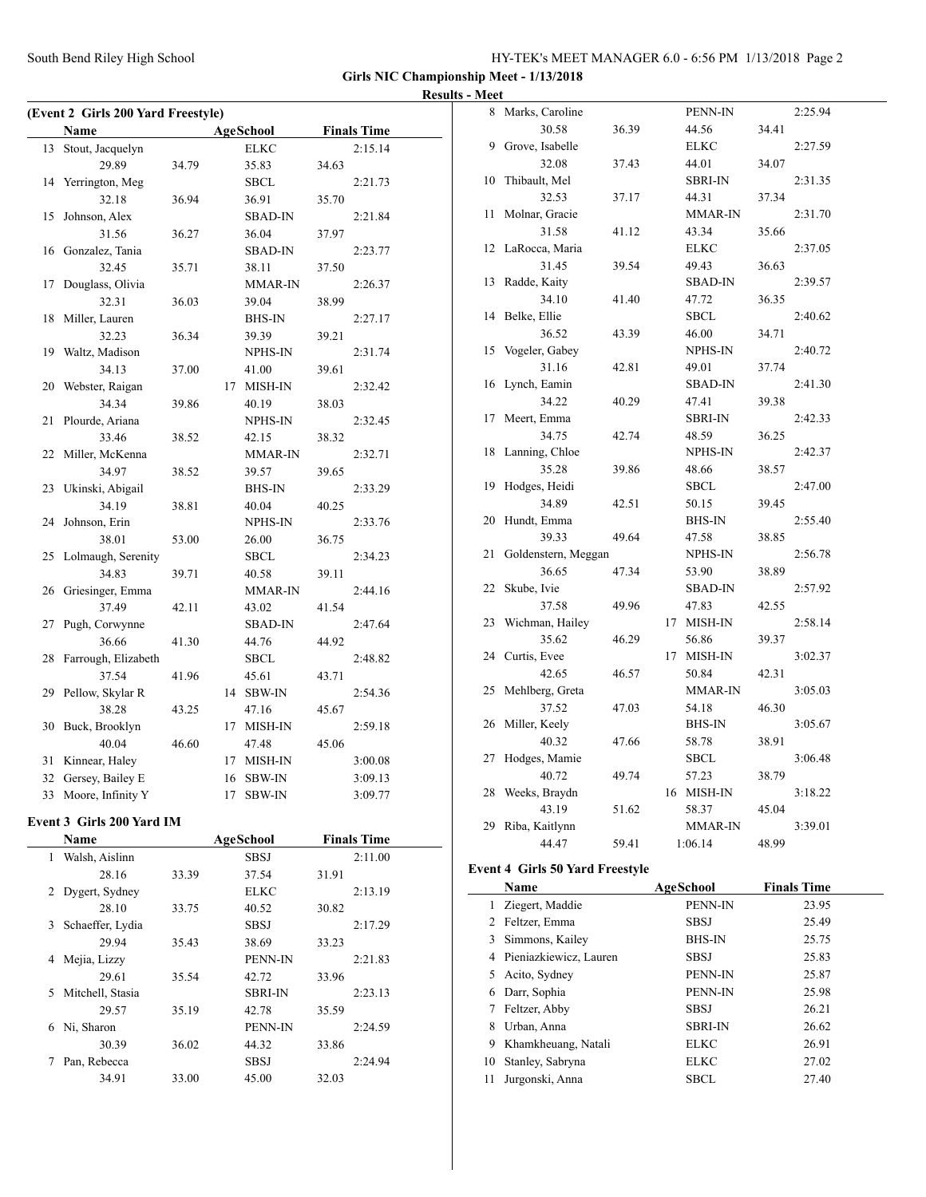$\overline{a}$ 

**Girls NIC Championship Meet - 1/13/2018 Results - Meet**

 $\overline{a}$ 

|    | (Event 2 Girls 200 Yard Freestyle) |       |    |                  |       |                    |
|----|------------------------------------|-------|----|------------------|-------|--------------------|
|    | Name                               |       |    | <b>AgeSchool</b> |       | <b>Finals Time</b> |
| 13 | Stout, Jacquelyn                   |       |    | <b>ELKC</b>      |       | 2:15.14            |
|    | 29.89                              | 34.79 |    | 35.83            | 34.63 |                    |
| 14 | Yerrington, Meg                    |       |    | SBCL             |       | 2:21.73            |
|    | 32.18                              | 36.94 |    | 36.91            | 35.70 |                    |
| 15 | Johnson, Alex                      |       |    | SBAD-IN          |       | 2:21.84            |
|    | 31.56                              | 36.27 |    | 36.04            | 37.97 |                    |
| 16 | Gonzalez, Tania                    |       |    | <b>SBAD-IN</b>   |       | 2:23.77            |
|    | 32.45                              | 35.71 |    | 38.11            | 37.50 |                    |
| 17 | Douglass, Olivia                   |       |    | <b>MMAR-IN</b>   |       | 2:26.37            |
|    | 32.31                              | 36.03 |    | 39.04            | 38.99 |                    |
| 18 | Miller, Lauren                     |       |    | <b>BHS-IN</b>    |       | 2:27.17            |
|    | 32.23                              | 36.34 |    | 39.39            | 39.21 |                    |
| 19 | Waltz, Madison                     |       |    | NPHS-IN          |       | 2:31.74            |
|    | 34.13                              | 37.00 |    | 41.00            | 39.61 |                    |
| 20 | Webster, Raigan                    |       |    | 17 MISH-IN       |       | 2:32.42            |
|    | 34.34                              | 39.86 |    | 40.19            | 38.03 |                    |
| 21 | Plourde, Ariana                    |       |    | NPHS-IN          |       | 2:32.45            |
|    | 33.46                              | 38.52 |    | 42.15            | 38.32 |                    |
| 22 | Miller, McKenna                    |       |    | <b>MMAR-IN</b>   |       | 2:32.71            |
|    | 34.97                              | 38.52 |    | 39.57            | 39.65 |                    |
| 23 | Ukinski, Abigail                   |       |    | <b>BHS-IN</b>    |       | 2:33.29            |
|    | 34.19                              | 38.81 |    | 40.04            | 40.25 |                    |
| 24 | Johnson, Erin                      |       |    | NPHS-IN          |       | 2:33.76            |
|    | 38.01                              | 53.00 |    | 26.00            | 36.75 |                    |
|    | 25 Lolmaugh, Serenity              |       |    | SBCL             |       | 2:34.23            |
|    | 34.83                              | 39.71 |    | 40.58            | 39.11 |                    |
| 26 | Griesinger, Emma                   |       |    | MMAR-IN          |       | 2:44.16            |
|    | 37.49                              | 42.11 |    | 43.02            | 41.54 |                    |
| 27 | Pugh, Corwynne                     |       |    | SBAD-IN          |       | 2:47.64            |
|    | 36.66                              | 41.30 |    | 44.76            | 44.92 |                    |
| 28 | Farrough, Elizabeth                |       |    | SBCL             |       | 2:48.82            |
|    | 37.54                              | 41.96 |    | 45.61            | 43.71 |                    |
| 29 | Pellow, Skylar R                   |       |    | 14 SBW-IN        |       | 2:54.36            |
|    | 38.28                              | 43.25 |    | 47.16            | 45.67 |                    |
| 30 | Buck, Brooklyn                     |       |    | 17 MISH-IN       |       | 2:59.18            |
|    | 40.04                              | 46.60 |    | 47.48            | 45.06 |                    |
| 31 | Kinnear, Haley                     |       | 17 | MISH-IN          |       | 3:00.08            |
| 32 | Gersey, Bailey E                   |       | 16 | SBW-IN           |       | 3:09.13            |
|    | 33 Moore, Infinity Y               |       | 17 | SBW-IN           |       | 3:09.77            |
|    |                                    |       |    |                  |       |                    |
|    | Event 3 Girls 200 Yard IM          |       |    |                  |       |                    |
|    | <b>Name</b>                        |       |    | <b>AgeSchool</b> |       | <b>Finals Time</b> |
| 1  | Walsh, Aislinn                     |       |    | <b>SBSJ</b>      |       | 2:11.00            |
|    | 28.16                              | 33.39 |    | 37.54            | 31.91 |                    |
| 2  | Dygert, Sydney                     |       |    | <b>ELKC</b>      |       | 2:13.19            |
|    | 28.10                              | 33.75 |    | 40.52            | 30.82 |                    |
| 3  | Schaeffer, Lydia                   |       |    | <b>SBSJ</b>      |       | 2:17.29            |
|    | 29.94                              | 35.43 |    | 38.69            | 33.23 |                    |
| 4  | Mejia, Lizzy                       |       |    | PENN-IN          |       | 2:21.83            |
|    | 29.61                              | 35.54 |    | 42.72            | 33.96 |                    |
| 5  | Mitchell, Stasia                   |       |    | <b>SBRI-IN</b>   |       | 2:23.13            |
|    | 29.57                              | 35.19 |    | 42.78            | 35.59 |                    |
| 6  |                                    |       |    | PENN-IN          |       | 2:24.59            |
|    |                                    |       |    |                  |       |                    |
| 7  | Pan, Rebecca                       |       |    | <b>SBSJ</b>      |       | 2:24.94            |
|    |                                    |       |    |                  |       |                    |
|    | Ni, Sharon<br>30.39                | 36.02 |    | 44.32            | 33.86 |                    |
|    |                                    |       |    |                  |       |                    |

| 8  | Marks, Caroline                        |       |    | PENN-IN        |       | 2:25.94 |
|----|----------------------------------------|-------|----|----------------|-------|---------|
|    | 30.58                                  | 36.39 |    | 44.56          | 34.41 |         |
| 9  | Grove, Isabelle                        |       |    | ELKC           |       | 2:27.59 |
|    | 32.08                                  | 37.43 |    | 44.01          | 34.07 |         |
| 10 | Thibault, Mel                          |       |    | <b>SBRI-IN</b> |       | 2:31.35 |
|    | 32.53                                  | 37.17 |    | 44.31          | 37.34 |         |
| 11 | Molnar, Gracie                         |       |    | MMAR-IN        |       | 2:31.70 |
|    | 31.58                                  | 41.12 |    | 43.34          | 35.66 |         |
| 12 | LaRocca, Maria                         |       |    | <b>ELKC</b>    |       | 2:37.05 |
|    | 31.45                                  | 39.54 |    | 49.43          | 36.63 |         |
| 13 | Radde, Kaity                           |       |    | <b>SBAD-IN</b> |       | 2:39.57 |
|    | 34.10                                  | 41.40 |    | 47.72          | 36.35 |         |
| 14 | Belke, Ellie                           |       |    | <b>SBCL</b>    |       | 2:40.62 |
|    | 36.52                                  | 43.39 |    | 46.00          | 34.71 |         |
| 15 | Vogeler, Gabey                         |       |    | NPHS-IN        |       | 2:40.72 |
|    | 31.16                                  | 42.81 |    | 49.01          | 37.74 |         |
| 16 | Lynch, Eamin                           |       |    | <b>SBAD-IN</b> |       | 2:41.30 |
|    | 34.22                                  | 40.29 |    | 47.41          | 39.38 |         |
| 17 | Meert, Emma                            |       |    | <b>SBRI-IN</b> |       | 2:42.33 |
|    | 34.75                                  | 42.74 |    | 48.59          | 36.25 |         |
| 18 | Lanning, Chloe                         |       |    | NPHS-IN        |       | 2:42.37 |
|    | 35.28                                  | 39.86 |    | 48.66          | 38.57 |         |
| 19 | Hodges, Heidi                          |       |    | <b>SBCL</b>    |       | 2:47.00 |
|    | 34.89                                  | 42.51 |    | 50.15          | 39.45 |         |
| 20 | Hundt, Emma                            |       |    | <b>BHS-IN</b>  |       | 2:55.40 |
|    | 39.33                                  | 49.64 |    | 47.58          | 38.85 |         |
| 21 | Goldenstern, Meggan                    |       |    | NPHS-IN        |       | 2:56.78 |
|    | 36.65                                  | 47.34 |    | 53.90          | 38.89 |         |
| 22 | Skube, Ivie                            |       |    | <b>SBAD-IN</b> |       | 2:57.92 |
|    | 37.58                                  | 49.96 |    | 47.83          | 42.55 |         |
| 23 | Wichman, Hailey                        |       | 17 | MISH-IN        |       | 2:58.14 |
|    | 35.62                                  | 46.29 |    | 56.86          | 39.37 |         |
| 24 | Curtis, Evee                           |       | 17 | MISH-IN        |       | 3:02.37 |
|    | 42.65                                  | 46.57 |    | 50.84          | 42.31 |         |
| 25 | Mehlberg, Greta                        |       |    | MMAR-IN        |       | 3:05.03 |
|    | 37.52                                  | 47.03 |    | 54.18          | 46.30 |         |
| 26 | Miller, Keely                          |       |    | BHS-IN         |       | 3:05.67 |
|    | 40.32                                  | 47.66 |    | 58.78          | 38.91 |         |
| 27 | Hodges, Mamie                          |       |    | <b>SBCL</b>    |       | 3:06.48 |
|    | 40.72                                  | 49.74 |    | 57.23          | 38.79 |         |
| 28 | Weeks, Braydn                          |       |    | 16 MISH-IN     |       | 3:18.22 |
|    | 43.19                                  | 51.62 |    | 58.37          | 45.04 |         |
| 29 | Riba, Kaitlynn                         |       |    | <b>MMAR-IN</b> |       | 3:39.01 |
|    | 44.47                                  | 59.41 |    | 1:06.14        | 48.99 |         |
|    | <b>Event 4 Girls 50 Yard Freestyle</b> |       |    |                |       |         |

|    | <b>Name</b>            | AgeSchool      | <b>Finals Time</b> |
|----|------------------------|----------------|--------------------|
|    | Ziegert, Maddie        | PENN-IN        | 23.95              |
|    | 2 Feltzer, Emma        | <b>SBSJ</b>    | 25.49              |
| 3  | Simmons, Kailey        | <b>BHS-IN</b>  | 25.75              |
| 4  | Pieniazkiewicz, Lauren | <b>SBSJ</b>    | 25.83              |
| 5  | Acito, Sydney          | PENN-IN        | 25.87              |
| 6  | Darr, Sophia           | PENN-IN        | 25.98              |
| 7  | Feltzer, Abby          | <b>SBSJ</b>    | 26.21              |
| 8  | Urban, Anna            | <b>SBRI-IN</b> | 26.62              |
| 9  | Khamkheuang, Natali    | ELKC           | 26.91              |
| 10 | Stanley, Sabryna       | <b>ELKC</b>    | 27.02              |
| 11 | Jurgonski, Anna        | SBCL           | 27.40              |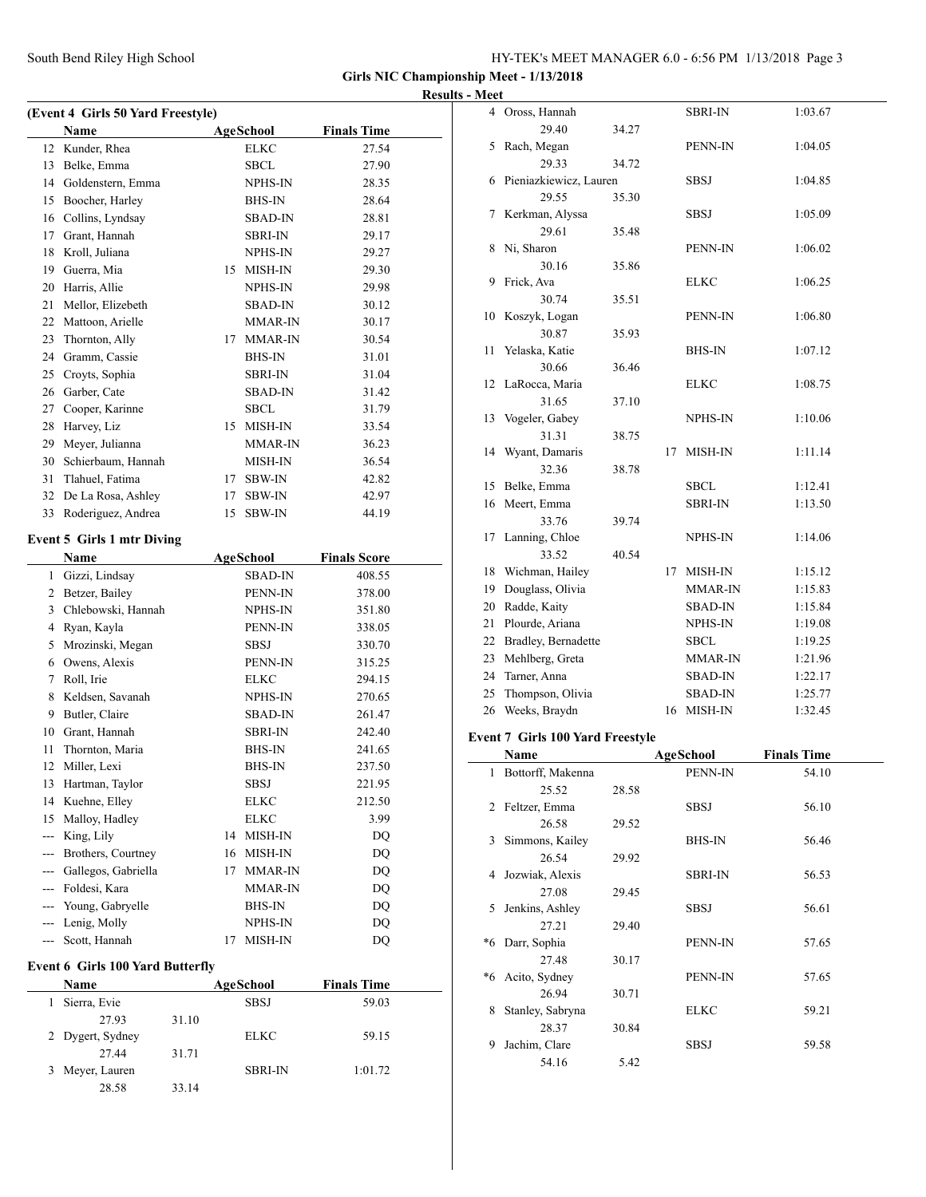| HY-TEK's MEET MANAGER 6.0 - 6:56 PM 1/13/2018 Page 3 |  |
|------------------------------------------------------|--|
|------------------------------------------------------|--|

 $\overline{\phantom{a}}$ 

| <b>Results - Meet</b> |
|-----------------------|
|                       |

|    | (Event 4 Girls 50 Yard Freestyle)   |    |                  |                     |  |
|----|-------------------------------------|----|------------------|---------------------|--|
|    | <b>Name</b>                         |    | AgeSchool        | <b>Finals Time</b>  |  |
| 12 | Kunder, Rhea                        |    | <b>ELKC</b>      | 27.54               |  |
| 13 | Belke, Emma                         |    | SBCL             | 27.90               |  |
|    | 14 Goldenstern, Emma                |    | NPHS-IN          | 28.35               |  |
|    | 15 Boocher, Harley                  |    | <b>BHS-IN</b>    | 28.64               |  |
|    | 16 Collins, Lyndsay                 |    | <b>SBAD-IN</b>   | 28.81               |  |
|    | 17 Grant, Hannah                    |    | SBRI-IN          | 29.17               |  |
|    | 18 Kroll, Juliana                   |    | <b>NPHS-IN</b>   | 29.27               |  |
|    | 19 Guerra, Mia                      |    | 15 MISH-IN       | 29.30               |  |
|    | 20 Harris, Allie                    |    | NPHS-IN          | 29.98               |  |
|    | 21 Mellor, Elizebeth                |    | SBAD-IN          | 30.12               |  |
|    | 22 Mattoon, Arielle                 |    | MMAR-IN          | 30.17               |  |
| 23 | Thornton, Ally                      |    | 17 MMAR-IN       | 30.54               |  |
|    | 24 Gramm, Cassie                    |    | BHS-IN           | 31.01               |  |
|    | 25 Croyts, Sophia                   |    | SBRI-IN          | 31.04               |  |
|    | 26 Garber, Cate                     |    | <b>SBAD-IN</b>   | 31.42               |  |
|    | 27 Cooper, Karinne                  |    | <b>SBCL</b>      | 31.79               |  |
| 28 | Harvey, Liz                         |    | 15 MISH-IN       | 33.54               |  |
|    | 29 Meyer, Julianna                  |    | MMAR-IN          | 36.23               |  |
|    | 30 Schierbaum, Hannah               |    | MISH-IN          | 36.54               |  |
| 31 | Tlahuel, Fatima                     |    | 17 SBW-IN        | 42.82               |  |
|    | 32 De La Rosa, Ashley               |    | 17 SBW-IN        | 42.97               |  |
| 33 | Roderiguez, Andrea                  |    | 15 SBW-IN        | 44.19               |  |
|    | <b>Event 5 Girls 1 mtr Diving</b>   |    |                  |                     |  |
|    | Name                                |    | <b>AgeSchool</b> | <b>Finals Score</b> |  |
|    | 1 Gizzi, Lindsay                    |    | <b>SBAD-IN</b>   | 408.55              |  |
|    |                                     |    |                  |                     |  |
|    | 2 Betzer, Bailey                    |    | PENN-IN          | 378.00              |  |
|    | 3 Chlebowski, Hannah                |    | NPHS-IN          | 351.80              |  |
|    |                                     |    | PENN-IN          | 338.05              |  |
|    | 4 Ryan, Kayla<br>5 Mrozinski, Megan |    | SBSJ             | 330.70              |  |
|    | 6 Owens, Alexis                     |    | PENN-IN          | 315.25              |  |
|    | 7 Roll, Irie                        |    | <b>ELKC</b>      | 294.15              |  |
|    | 8 Keldsen, Savanah                  |    | NPHS-IN          | 270.65              |  |
|    | 9 Butler, Claire                    |    | SBAD-IN          | 261.47              |  |
|    | 10 Grant, Hannah                    |    | SBRI-IN          | 242.40              |  |
| 11 | Thornton, Maria                     |    | BHS-IN           | 241.65              |  |
| 12 | Miller, Lexi                        |    | <b>BHS-IN</b>    | 237.50              |  |
| 13 | Hartman, Taylor                     |    | SBSJ             | 221.95              |  |
| 14 | Kuehne, Elley                       |    | ELKC             | 212.50              |  |
| 15 | Malloy, Hadley                      |    | <b>ELKC</b>      | 3.99                |  |
|    | --- King, Lily                      | 14 | MISH-IN          | DQ                  |  |
|    | --- Brothers, Courtney              |    | 16 MISH-IN       | DQ                  |  |
|    | --- Gallegos, Gabriella             | 17 | <b>MMAR-IN</b>   | DQ                  |  |
|    | --- Foldesi, Kara                   |    | MMAR-IN          | <b>DQ</b>           |  |
|    | --- Young, Gabryelle                |    | <b>BHS-IN</b>    | DQ                  |  |
|    | --- Lenig, Molly                    |    | NPHS-IN          | DQ                  |  |
|    | --- Scott, Hannah                   | 17 | MISH-IN          | DQ                  |  |

| <b>Name</b>      |       | AgeSchool      | <b>Finals Time</b> |  |
|------------------|-------|----------------|--------------------|--|
| Sierra, Evie     |       | <b>SBSJ</b>    | 59.03              |  |
| 27.93            | 31.10 |                |                    |  |
| 2 Dygert, Sydney |       | <b>ELKC</b>    | 59.15              |  |
| 27.44            | 31.71 |                |                    |  |
| Meyer, Lauren    |       | <b>SBRI-IN</b> | 1:01.72            |  |
| 28.58            | 33.14 |                |                    |  |

|    | Name                                    |       |    | AgeSchool      | <b>Finals Time</b> |  |
|----|-----------------------------------------|-------|----|----------------|--------------------|--|
|    | <b>Event 7 Girls 100 Yard Freestyle</b> |       |    |                |                    |  |
| 26 | Weeks, Braydn                           |       |    | 16 MISH-IN     | 1:32.45            |  |
| 25 | Thompson, Olivia                        |       |    | <b>SBAD-IN</b> | 1:25.77            |  |
| 24 | Tarner, Anna                            |       |    | SBAD-IN        | 1:22.17            |  |
| 23 | Mehlberg, Greta                         |       |    | MMAR-IN        | 1:21.96            |  |
| 22 | Bradley, Bernadette                     |       |    | <b>SBCL</b>    | 1:19.25            |  |
| 21 | Plourde, Ariana                         |       |    | NPHS-IN        | 1:19.08            |  |
| 20 | Radde, Kaity                            |       |    | <b>SBAD-IN</b> | 1:15.84            |  |
| 19 | Douglass, Olivia                        |       |    | MMAR-IN        | 1:15.83            |  |
| 18 | Wichman, Hailey                         |       | 17 | MISH-IN        | 1:15.12            |  |
|    | 33.52                                   | 40.54 |    |                |                    |  |
| 17 | Lanning, Chloe                          |       |    | NPHS-IN        | 1:14.06            |  |
|    | 33.76                                   | 39.74 |    |                |                    |  |
| 16 | Meert, Emma                             |       |    | <b>SBRI-IN</b> | 1:13.50            |  |
| 15 | Belke, Emma                             |       |    | <b>SBCL</b>    | 1:12.41            |  |
|    | 32.36                                   | 38.78 |    |                |                    |  |
|    | 14 Wyant, Damaris                       |       | 17 | MISH-IN        | 1:11.14            |  |
|    | 31.31                                   | 38.75 |    |                |                    |  |
|    | 13 Vogeler, Gabey                       |       |    | NPHS-IN        | 1:10.06            |  |
|    | 31.65                                   | 37.10 |    |                |                    |  |
| 12 | LaRocca, Maria                          |       |    | <b>ELKC</b>    | 1:08.75            |  |
|    | 30.66                                   | 36.46 |    |                |                    |  |
| 11 | Yelaska, Katie                          |       |    | <b>BHS-IN</b>  | 1:07.12            |  |
|    | 30.87                                   | 35.93 |    |                |                    |  |
| 10 | Koszyk, Logan                           |       |    | PENN-IN        | 1:06.80            |  |
|    | 30.74                                   | 35.51 |    |                |                    |  |
| 9  | Frick, Ava                              |       |    | <b>ELKC</b>    | 1:06.25            |  |
|    | 30.16                                   | 35.86 |    |                |                    |  |
| 8  | Ni, Sharon                              |       |    | PENN-IN        | 1:06.02            |  |
|    | 29.61                                   | 35.48 |    |                |                    |  |
| 7  | Kerkman, Alyssa                         |       |    | <b>SBSJ</b>    | 1:05.09            |  |
|    | 29.55                                   | 35.30 |    |                |                    |  |
| 6  | Pieniazkiewicz, Lauren                  |       |    | SBSJ           | 1:04.85            |  |
|    | 29.33                                   | 34.72 |    |                |                    |  |
| 5  | Rach, Megan                             |       |    | PENN-IN        | 1:04.05            |  |
|    | 29.40                                   | 34.27 |    |                |                    |  |
|    | 4 Oross, Hannah                         |       |    | <b>SBRI-IN</b> | 1:03.67            |  |

|    | Name              |       | AgeSchool      | <b>Finals Time</b> |
|----|-------------------|-------|----------------|--------------------|
| 1  | Bottorff, Makenna |       | PENN-IN        | 54.10              |
|    | 25.52             | 28.58 |                |                    |
| 2  | Feltzer, Emma     |       | SBSJ           | 56.10              |
|    | 26.58             | 29.52 |                |                    |
| 3  | Simmons, Kailey   |       | <b>BHS-IN</b>  | 56.46              |
|    | 26.54             | 29.92 |                |                    |
| 4  | Jozwiak, Alexis   |       | <b>SBRI-IN</b> | 56.53              |
|    | 27.08             | 29.45 |                |                    |
| 5  | Jenkins, Ashley   |       | SBSJ           | 56.61              |
|    | 27.21             | 29.40 |                |                    |
| *6 | Darr, Sophia      |       | PENN-IN        | 57.65              |
|    | 27.48             | 30.17 |                |                    |
| *6 | Acito, Sydney     |       | PENN-IN        | 57.65              |
|    | 26.94             | 30.71 |                |                    |
| 8  | Stanley, Sabryna  |       | <b>ELKC</b>    | 59.21              |
|    | 28.37             | 30.84 |                |                    |
| 9  | Jachim, Clare     |       | SBSJ           | 59.58              |
|    | 54.16             | 5.42  |                |                    |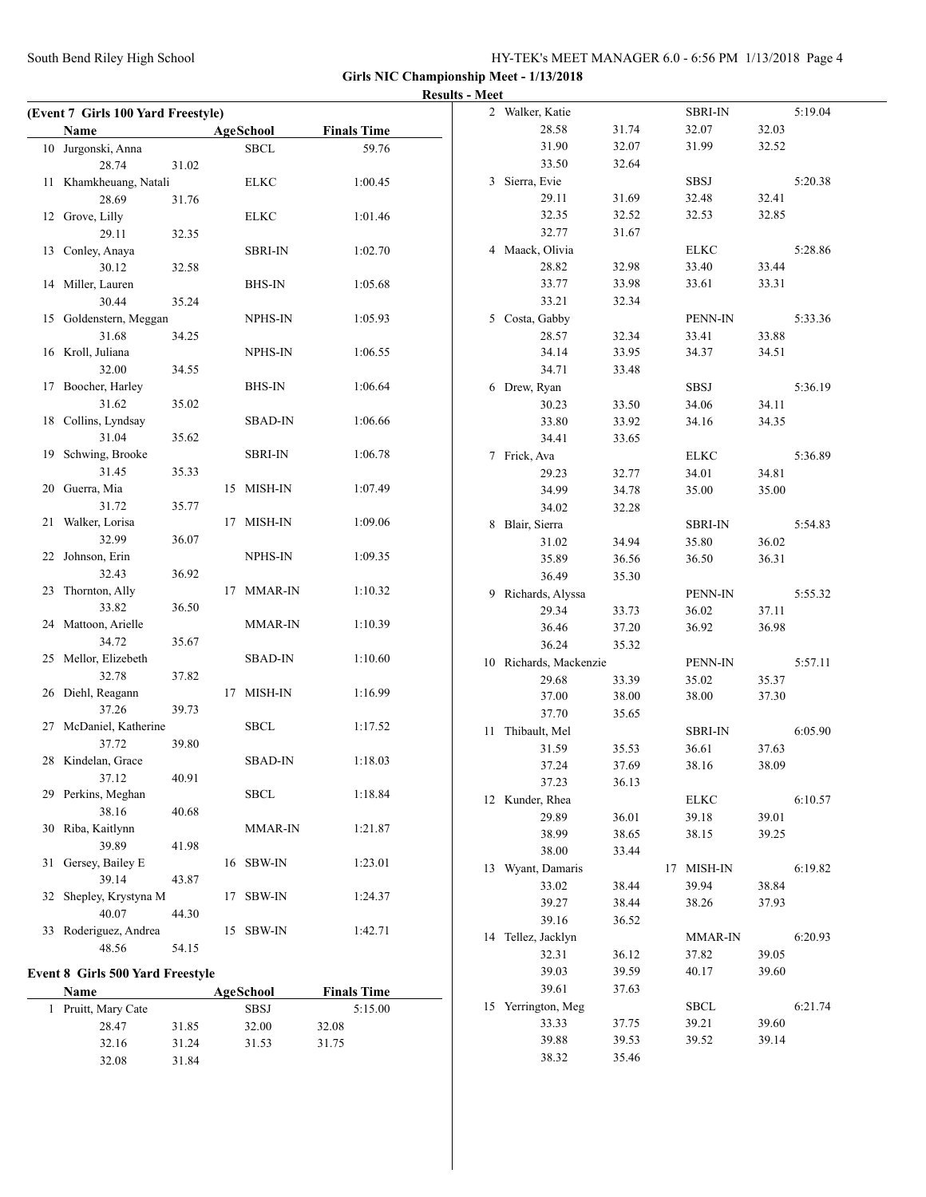|                                         |                |                |                    | <b>Results - Meet</b> |                        |       |                |       |         |
|-----------------------------------------|----------------|----------------|--------------------|-----------------------|------------------------|-------|----------------|-------|---------|
| (Event 7 Girls 100 Yard Freestyle)      |                |                |                    |                       | 2 Walker, Katie        |       | <b>SBRI-IN</b> |       | 5:19.04 |
| Name                                    |                | AgeSchool      | <b>Finals Time</b> |                       | 28.58                  | 31.74 | 32.07          | 32.03 |         |
| 10 Jurgonski, Anna                      |                | <b>SBCL</b>    | 59.76              |                       | 31.90                  | 32.07 | 31.99          | 32.52 |         |
| 28.74                                   | 31.02          |                |                    |                       | 33.50                  | 32.64 |                |       |         |
| 11 Khamkheuang, Natali                  |                | <b>ELKC</b>    | 1:00.45            |                       | 3 Sierra, Evie         |       | <b>SBSJ</b>    |       | 5:20.38 |
| 28.69                                   | 31.76          |                |                    |                       | 29.11                  | 31.69 | 32.48          | 32.41 |         |
| 12 Grove, Lilly                         |                | <b>ELKC</b>    | 1:01.46            |                       | 32.35                  | 32.52 | 32.53          | 32.85 |         |
| 29.11                                   | 32.35          |                |                    |                       | 32.77                  | 31.67 |                |       |         |
| 13 Conley, Anaya                        |                | <b>SBRI-IN</b> | 1:02.70            |                       | 4 Maack, Olivia        |       | <b>ELKC</b>    |       | 5:28.86 |
| 30.12                                   | 32.58          |                |                    |                       | 28.82                  | 32.98 | 33.40          | 33.44 |         |
| 14 Miller, Lauren                       |                | <b>BHS-IN</b>  | 1:05.68            |                       | 33.77                  | 33.98 | 33.61          | 33.31 |         |
| 30.44                                   | 35.24          |                |                    |                       | 33.21                  | 32.34 |                |       |         |
| 15 Goldenstern, Meggan                  |                | NPHS-IN        | 1:05.93            |                       | 5 Costa, Gabby         |       | PENN-IN        |       | 5:33.36 |
| 31.68                                   | 34.25          |                |                    |                       | 28.57                  | 32.34 | 33.41          | 33.88 |         |
| 16 Kroll, Juliana                       |                | NPHS-IN        | 1:06.55            |                       | 34.14                  | 33.95 | 34.37          | 34.51 |         |
| 32.00                                   | 34.55          |                |                    |                       | 34.71                  | 33.48 |                |       |         |
| 17 Boocher, Harley                      |                | <b>BHS-IN</b>  | 1:06.64            |                       | 6 Drew, Ryan           |       | <b>SBSJ</b>    |       | 5:36.19 |
| 31.62                                   | 35.02          |                |                    |                       | 30.23                  | 33.50 | 34.06          | 34.11 |         |
| 18 Collins, Lyndsay                     |                | <b>SBAD-IN</b> | 1:06.66            |                       | 33.80                  | 33.92 | 34.16          | 34.35 |         |
| 31.04                                   | 35.62          |                |                    |                       | 34.41                  | 33.65 |                |       |         |
| 19 Schwing, Brooke                      |                | <b>SBRI-IN</b> | 1:06.78            |                       | 7 Frick, Ava           |       | <b>ELKC</b>    |       | 5:36.89 |
| 31.45                                   | 35.33          |                |                    |                       | 29.23                  | 32.77 | 34.01          | 34.81 |         |
| 20 Guerra, Mia                          |                | 15 MISH-IN     | 1:07.49            |                       | 34.99                  | 34.78 | 35.00          | 35.00 |         |
| 31.72                                   | 35.77          |                |                    |                       | 34.02                  | 32.28 |                |       |         |
| 21 Walker, Lorisa                       |                | 17 MISH-IN     | 1:09.06            |                       | 8 Blair, Sierra        |       | <b>SBRI-IN</b> |       | 5:54.83 |
| 32.99                                   | 36.07          |                |                    |                       | 31.02                  | 34.94 | 35.80          | 36.02 |         |
| 22 Johnson, Erin                        |                | NPHS-IN        | 1:09.35            |                       | 35.89                  | 36.56 | 36.50          | 36.31 |         |
| 32.43                                   | 36.92          |                |                    |                       | 36.49                  | 35.30 |                |       |         |
| 23 Thornton, Ally                       |                | 17 MMAR-IN     | 1:10.32            |                       | 9 Richards, Alyssa     |       | PENN-IN        |       | 5:55.32 |
| 33.82                                   | 36.50          |                |                    |                       | 29.34                  | 33.73 | 36.02          | 37.11 |         |
| 24 Mattoon, Arielle                     |                | <b>MMAR-IN</b> | 1:10.39            |                       | 36.46                  | 37.20 | 36.92          | 36.98 |         |
| 34.72                                   | 35.67          |                |                    |                       | 36.24                  | 35.32 |                |       |         |
| 25 Mellor, Elizebeth                    |                | <b>SBAD-IN</b> | 1:10.60            |                       | 10 Richards, Mackenzie |       | PENN-IN        |       | 5:57.11 |
| 32.78                                   | 37.82          |                |                    |                       | 29.68                  | 33.39 | 35.02          | 35.37 |         |
| 26 Diehl, Reagann                       |                | 17 MISH-IN     | 1:16.99            |                       | 37.00                  | 38.00 | 38.00          | 37.30 |         |
| 37.26                                   | 39.73          |                |                    |                       | 37.70                  | 35.65 |                |       |         |
| 27 McDaniel, Katherine                  |                | <b>SBCL</b>    | 1:17.52            |                       | 11 Thibault, Mel       |       | <b>SBRI-IN</b> |       | 6:05.90 |
| 37.72                                   | 39.80          |                |                    |                       | 31.59                  | 35.53 | 36.61          | 37.63 |         |
| 28 Kindelan, Grace                      |                | <b>SBAD-IN</b> | 1:18.03            |                       | 37.24                  | 37.69 | 38.16          | 38.09 |         |
| 37.12                                   | 40.91          |                |                    |                       | 37.23                  | 36.13 |                |       |         |
| 29 Perkins, Meghan                      |                | <b>SBCL</b>    | 1:18.84            |                       | 12 Kunder, Rhea        |       | <b>ELKC</b>    |       | 6:10.57 |
| 38.16                                   | 40.68          |                |                    |                       | 29.89                  | 36.01 | 39.18          | 39.01 |         |
| 30 Riba, Kaitlynn                       |                | MMAR-IN        | 1:21.87            |                       | 38.99                  | 38.65 | 38.15          | 39.25 |         |
| 39.89                                   | 41.98          |                |                    |                       | 38.00                  | 33.44 |                |       |         |
| 31 Gersey, Bailey E                     |                | 16 SBW-IN      | 1:23.01            |                       | 13 Wyant, Damaris      |       | 17 MISH-IN     |       | 6:19.82 |
| 39.14                                   | 43.87          |                |                    |                       | 33.02                  | 38.44 | 39.94          | 38.84 |         |
| 32 Shepley, Krystyna M                  |                | 17 SBW-IN      | 1:24.37            |                       | 39.27                  | 38.44 | 38.26          | 37.93 |         |
| 40.07                                   | 44.30          |                |                    |                       | 39.16                  | 36.52 |                |       |         |
| 33 Roderiguez, Andrea                   |                | 15 SBW-IN      | 1:42.71            |                       | 14 Tellez, Jacklyn     |       | MMAR-IN        |       | 6:20.93 |
| 48.56                                   | 54.15          |                |                    |                       | 32.31                  | 36.12 | 37.82          | 39.05 |         |
| <b>Event 8 Girls 500 Yard Freestyle</b> |                |                |                    |                       | 39.03                  | 39.59 | 40.17          | 39.60 |         |
| Name                                    |                | AgeSchool      | <b>Finals Time</b> |                       | 39.61                  | 37.63 |                |       |         |
|                                         |                | <b>SBSJ</b>    |                    |                       | 15 Yerrington, Meg     |       | <b>SBCL</b>    |       | 6:21.74 |
| 1 Pruitt, Mary Cate                     |                |                | 5:15.00            |                       | 33.33                  | 37.75 | 39.21          | 39.60 |         |
| 28.47                                   | 31.85          | 32.00          | 32.08              |                       | 39.88                  | 39.53 | 39.52          | 39.14 |         |
| 32.16<br>32.08                          | 31.24<br>31.84 | 31.53          | 31.75              |                       | 38.32                  | 35.46 |                |       |         |
|                                         |                |                |                    |                       |                        |       |                |       |         |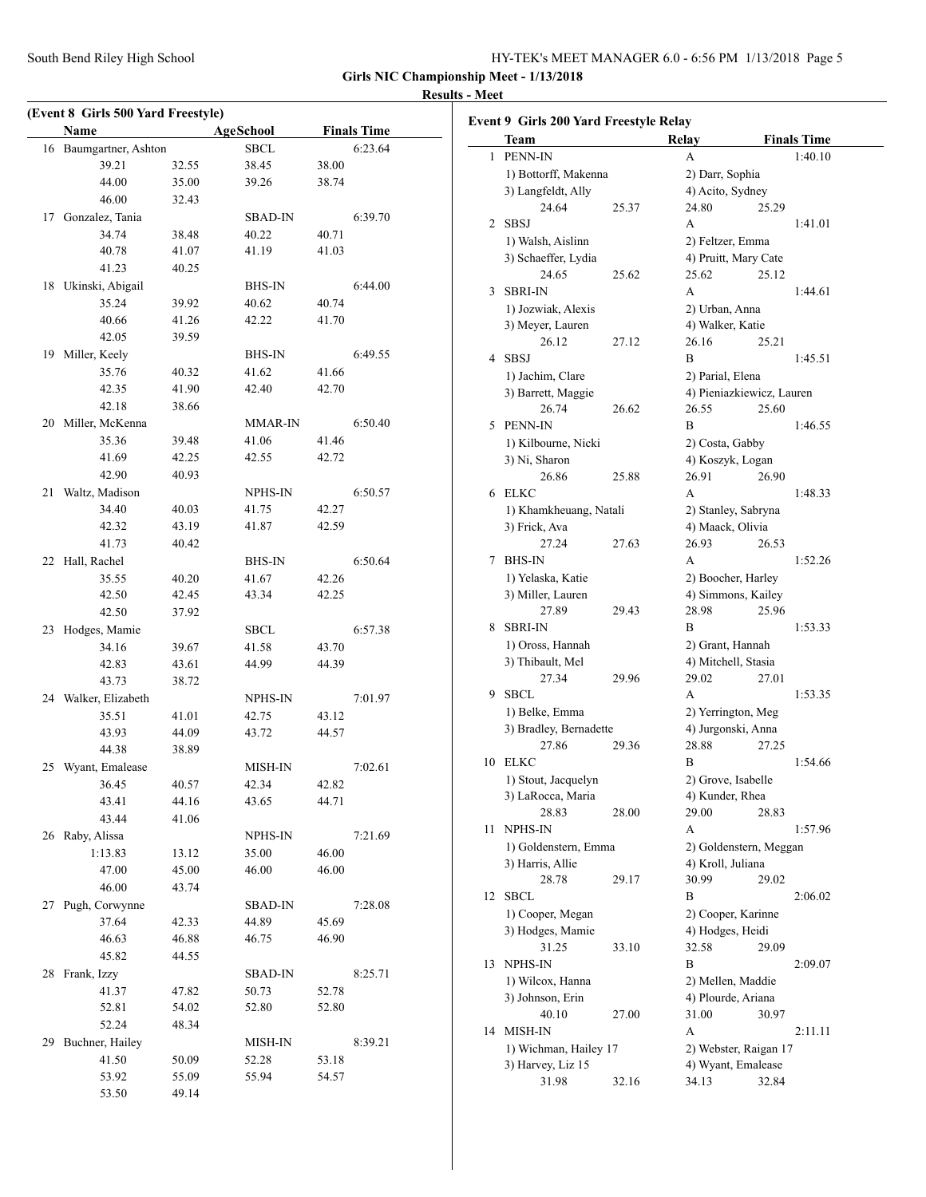# **Results - Meet**

 $\overline{\phantom{0}}$ 

|    | (Event 8 Girls 500 Yard Freestyle)<br><b>Name</b> |       | <b>AgeSchool</b> |                | <b>Finals Time</b> |
|----|---------------------------------------------------|-------|------------------|----------------|--------------------|
| 16 | Baumgartner, Ashton                               |       | <b>SBCL</b>      |                | 6:23.64            |
|    | 39.21                                             | 32.55 | 38.45            | 38.00          |                    |
|    | 44.00                                             | 35.00 | 39.26            | 38.74          |                    |
|    | 46.00                                             | 32.43 |                  |                |                    |
|    | 17 Gonzalez, Tania                                |       | <b>SBAD-IN</b>   |                | 6:39.70            |
|    | 34.74                                             | 38.48 | 40.22            | 40.71          |                    |
|    | 40.78                                             | 41.07 | 41.19            | 41.03          |                    |
|    | 41.23                                             | 40.25 |                  |                |                    |
|    | 18 Ukinski, Abigail                               |       | <b>BHS-IN</b>    |                | 6:44.00            |
|    | 35.24                                             | 39.92 | 40.62            | 40.74          |                    |
|    | 40.66                                             | 41.26 | 42.22            | 41.70          |                    |
|    | 42.05                                             | 39.59 |                  |                |                    |
|    | 19 Miller, Keely                                  |       | <b>BHS-IN</b>    |                | 6:49.55            |
|    | 35.76                                             | 40.32 | 41.62            | 41.66          |                    |
|    | 42.35                                             | 41.90 | 42.40            | 42.70          |                    |
|    | 42.18                                             | 38.66 |                  |                |                    |
|    | 20 Miller, McKenna                                |       | MMAR-IN          |                | 6:50.40            |
|    | 35.36                                             | 39.48 | 41.06            | 41.46          |                    |
|    | 41.69                                             | 42.25 | 42.55            | 42.72          |                    |
|    | 42.90                                             | 40.93 |                  |                |                    |
| 21 | Waltz, Madison                                    |       | NPHS-IN          |                | 6:50.57            |
|    | 34.40                                             | 40.03 | 41.75            | 42.27          |                    |
|    | 42.32                                             | 43.19 | 41.87            | 42.59          |                    |
|    | 41.73                                             | 40.42 |                  |                |                    |
| 22 | Hall, Rachel                                      |       | <b>BHS-IN</b>    |                | 6:50.64            |
|    | 35.55                                             | 40.20 | 41.67            | 42.26          |                    |
|    | 42.50                                             | 42.45 | 43.34            | 42.25          |                    |
|    | 42.50                                             | 37.92 |                  |                |                    |
| 23 | Hodges, Mamie                                     |       | <b>SBCL</b>      |                | 6:57.38            |
|    | 34.16                                             | 39.67 | 41.58            | 43.70          |                    |
|    | 42.83                                             | 43.61 | 44.99            | 44.39          |                    |
|    | 43.73                                             | 38.72 |                  |                |                    |
|    | 24 Walker, Elizabeth                              |       | NPHS-IN          |                | 7:01.97            |
|    | 35.51                                             | 41.01 | 42.75            | 43.12          |                    |
|    | 43.93                                             | 44.09 | 43.72            | 44.57          |                    |
|    | 44.38<br>25 Wyant, Emalease                       | 38.89 |                  |                |                    |
|    | 36.45                                             | 40.57 | MISH-IN<br>42.34 |                | 7:02.61            |
|    | 43.41                                             | 44.16 | 43.65            | 42.82<br>44.71 |                    |
|    | 43.44                                             | 41.06 |                  |                |                    |
|    | 26 Raby, Alissa                                   |       | NPHS-IN          |                | 7:21.69            |
|    | 1:13.83                                           | 13.12 | 35.00            | 46.00          |                    |
|    | 47.00                                             | 45.00 | 46.00            | 46.00          |                    |
|    | 46.00                                             | 43.74 |                  |                |                    |
| 27 | Pugh, Corwynne                                    |       | <b>SBAD-IN</b>   |                | 7:28.08            |
|    | 37.64                                             | 42.33 | 44.89            | 45.69          |                    |
|    | 46.63                                             | 46.88 | 46.75            | 46.90          |                    |
|    | 45.82                                             | 44.55 |                  |                |                    |
| 28 | Frank, Izzy                                       |       | <b>SBAD-IN</b>   |                | 8:25.71            |
|    | 41.37                                             | 47.82 | 50.73            | 52.78          |                    |
|    | 52.81                                             | 54.02 | 52.80            | 52.80          |                    |
|    | 52.24                                             | 48.34 |                  |                |                    |
| 29 | Buchner, Hailey                                   |       | MISH-IN          |                | 8:39.21            |
|    | 41.50                                             | 50.09 | 52.28            | 53.18          |                    |
|    | 53.92                                             | 55.09 | 55.94            | 54.57          |                    |
|    | 53.50                                             | 49.14 |                  |                |                    |

|    | Team                   |       | Relay                                       | <b>Finals Time</b>        |  |  |  |
|----|------------------------|-------|---------------------------------------------|---------------------------|--|--|--|
| 1  | PENN-IN                |       | A                                           | 1:40.10                   |  |  |  |
|    | 1) Bottorff, Makenna   |       | 2) Darr, Sophia                             |                           |  |  |  |
|    | 3) Langfeldt, Ally     |       | 4) Acito, Sydney                            |                           |  |  |  |
|    | 24.64                  | 25.37 | 24.80                                       | 25.29                     |  |  |  |
| 2  | <b>SBSJ</b>            |       | A                                           | 1:41.01                   |  |  |  |
|    | 1) Walsh, Aislinn      |       | 2) Feltzer, Emma                            |                           |  |  |  |
|    | 3) Schaeffer, Lydia    |       |                                             | 4) Pruitt, Mary Cate      |  |  |  |
|    | 24.65                  | 25.62 | 25.62                                       | 25.12                     |  |  |  |
| 3  | <b>SBRI-IN</b>         |       | A                                           | 1:44.61                   |  |  |  |
|    |                        |       |                                             |                           |  |  |  |
|    | 1) Jozwiak, Alexis     |       | 2) Urban, Anna<br>4) Walker, Katie          |                           |  |  |  |
|    | 3) Meyer, Lauren       |       |                                             |                           |  |  |  |
|    | 26.12                  | 27.12 | 26.16                                       | 25.21                     |  |  |  |
| 4  | <b>SBSJ</b>            |       | B                                           | 1:45.51                   |  |  |  |
|    | 1) Jachim, Clare       |       | 2) Parial, Elena                            |                           |  |  |  |
|    | 3) Barrett, Maggie     |       |                                             | 4) Pieniazkiewicz, Lauren |  |  |  |
|    | 26.74                  | 26.62 | 26.55                                       | 25.60                     |  |  |  |
| 5  | PENN-IN                |       | B                                           | 1:46.55                   |  |  |  |
|    | 1) Kilbourne, Nicki    |       | 2) Costa, Gabby                             |                           |  |  |  |
|    | 3) Ni, Sharon          |       | 4) Koszyk, Logan                            |                           |  |  |  |
|    | 26.86                  | 25.88 | 26.91                                       | 26.90                     |  |  |  |
| 6  | ELKC                   |       | A                                           | 1:48.33                   |  |  |  |
|    | 1) Khamkheuang, Natali |       |                                             | 2) Stanley, Sabryna       |  |  |  |
|    | 3) Frick, Ava          |       | 4) Maack, Olivia                            |                           |  |  |  |
|    | 27.24                  | 27.63 | 26.93                                       | 26.53                     |  |  |  |
| 7  | <b>BHS-IN</b>          |       | A                                           | 1:52.26                   |  |  |  |
|    | 1) Yelaska, Katie      |       |                                             | 2) Boocher, Harley        |  |  |  |
|    | 3) Miller, Lauren      |       |                                             | 4) Simmons, Kailey        |  |  |  |
|    | 27.89                  | 29.43 | 28.98                                       | 25.96                     |  |  |  |
| 8  | <b>SBRI-IN</b>         |       | В                                           | 1:53.33                   |  |  |  |
|    | 1) Oross, Hannah       |       | 2) Grant, Hannah                            |                           |  |  |  |
|    | 3) Thibault, Mel       |       | 4) Mitchell, Stasia                         |                           |  |  |  |
|    | 27.34                  | 29.96 | 29.02                                       | 27.01                     |  |  |  |
| 9  | <b>SBCL</b>            |       | A                                           | 1:53.35                   |  |  |  |
|    | 1) Belke, Emma         |       |                                             | 2) Yerrington, Meg        |  |  |  |
|    | 3) Bradley, Bernadette |       | 4) Jurgonski, Anna                          |                           |  |  |  |
|    | 27.86                  | 29.36 | 28.88                                       | 27.25                     |  |  |  |
| 10 | ELKC                   |       | В                                           | 1:54.66                   |  |  |  |
|    | 1) Stout, Jacquelyn    |       | 2) Grove, Isabelle                          |                           |  |  |  |
|    | 3) LaRocca, Maria      |       | 4) Kunder, Rhea                             |                           |  |  |  |
|    | 28.83                  | 28.00 | 29.00                                       | 28.83                     |  |  |  |
| 11 | NPHS-IN                |       | A                                           | 1:57.96                   |  |  |  |
|    | 1) Goldenstern, Emma   |       |                                             |                           |  |  |  |
|    | 3) Harris, Allie       |       | 2) Goldenstern, Meggan<br>4) Kroll, Juliana |                           |  |  |  |
|    | 28.78                  |       | 30.99                                       | 29.02                     |  |  |  |
|    |                        | 29.17 |                                             |                           |  |  |  |
| 12 | <b>SBCL</b>            |       | B                                           | 2:06.02                   |  |  |  |
|    | 1) Cooper, Megan       |       |                                             | 2) Cooper, Karinne        |  |  |  |
|    | 3) Hodges, Mamie       |       | 4) Hodges, Heidi                            |                           |  |  |  |
|    | 31.25                  | 33.10 | 32.58                                       | 29.09                     |  |  |  |
| 13 | <b>NPHS-IN</b>         |       | В                                           | 2:09.07                   |  |  |  |
|    | 1) Wilcox, Hanna       |       | 2) Mellen, Maddie                           |                           |  |  |  |
|    | 3) Johnson, Erin       |       | 4) Plourde, Ariana                          |                           |  |  |  |
|    | 40.10                  | 27.00 | 31.00                                       | 30.97                     |  |  |  |
|    | 14 MISH-IN             |       | A                                           | 2:11.11                   |  |  |  |
|    | 1) Wichman, Hailey 17  |       |                                             | 2) Webster, Raigan 17     |  |  |  |
|    | 3) Harvey, Liz 15      |       |                                             | 4) Wyant, Emalease        |  |  |  |
|    | 31.98                  | 32.16 | 34.13                                       | 32.84                     |  |  |  |
|    |                        |       |                                             |                           |  |  |  |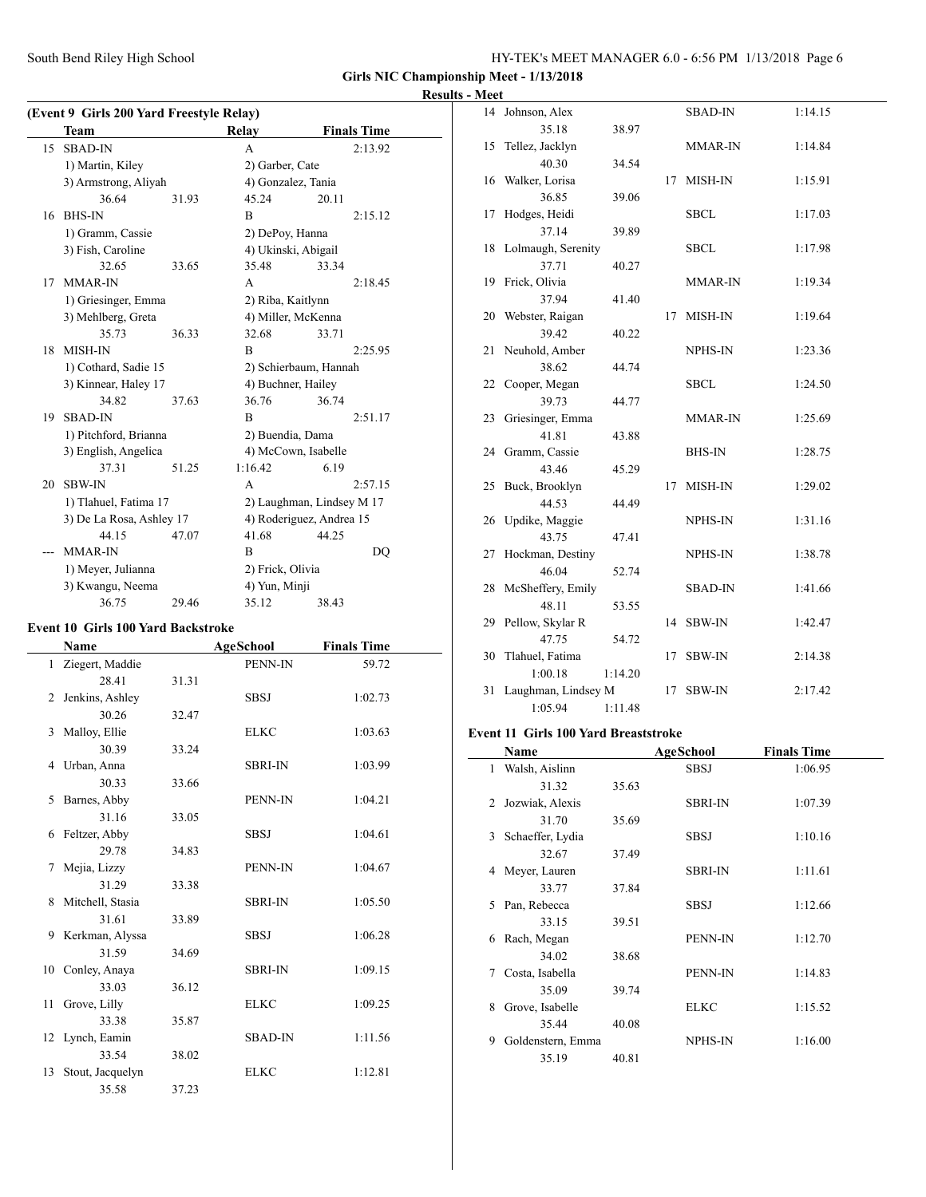South Bend Riley High School

| HY-TEK's MEET MANAGER 6.0 - 6:56 PM 1/13/2018 Page 6 |  |
|------------------------------------------------------|--|
|------------------------------------------------------|--|

**Girls NIC Championship Meet - 1/13/2018**

### **Results - Meet**

|    | (Event 9 Girls 200 Yard Freestyle Relay) |       |                           |                          |  |  |  |
|----|------------------------------------------|-------|---------------------------|--------------------------|--|--|--|
|    | <b>Team</b>                              |       | Relay                     | <b>Finals Time</b>       |  |  |  |
| 15 | <b>SBAD-IN</b>                           |       | A                         | 2:13.92                  |  |  |  |
|    | 1) Martin, Kiley                         |       | 2) Garber, Cate           |                          |  |  |  |
|    | 3) Armstrong, Aliyah                     |       | 4) Gonzalez, Tania        |                          |  |  |  |
|    | 36.64                                    | 31.93 | 45.24                     | 20.11                    |  |  |  |
| 16 | <b>BHS-IN</b>                            |       | B                         | 2:15.12                  |  |  |  |
|    | 1) Gramm, Cassie                         |       | 2) DePoy, Hanna           |                          |  |  |  |
|    | 3) Fish, Caroline                        |       | 4) Ukinski, Abigail       |                          |  |  |  |
|    | 32.65                                    | 33.65 | 35.48                     | 33.34                    |  |  |  |
| 17 | MMAR-IN                                  |       | A                         | 2:18.45                  |  |  |  |
|    | 1) Griesinger, Emma                      |       | 2) Riba, Kaitlynn         |                          |  |  |  |
|    | 3) Mehlberg, Greta                       |       |                           | 4) Miller, McKenna       |  |  |  |
|    | 35.73                                    | 36.33 | 32.68                     | 33.71                    |  |  |  |
| 18 | <b>MISH-IN</b>                           |       | B                         | 2:25.95                  |  |  |  |
|    | 1) Cothard, Sadie 15                     |       |                           | 2) Schierbaum, Hannah    |  |  |  |
|    | 3) Kinnear, Haley 17                     |       | 4) Buchner, Hailey        |                          |  |  |  |
|    | 34.82                                    | 37.63 | 36.76                     | 36.74                    |  |  |  |
| 19 | <b>SBAD-IN</b>                           |       | B                         | 2:51.17                  |  |  |  |
|    | 1) Pitchford, Brianna                    |       | 2) Buendia, Dama          |                          |  |  |  |
|    | 3) English, Angelica                     |       | 4) McCown, Isabelle       |                          |  |  |  |
|    | 37.31                                    | 51.25 | 1:16.42                   | 6.19                     |  |  |  |
| 20 | <b>SBW-IN</b>                            |       | A                         | 2:57.15                  |  |  |  |
|    | 1) Tlahuel, Fatima 17                    |       | 2) Laughman, Lindsey M 17 |                          |  |  |  |
|    | 3) De La Rosa, Ashley 17                 |       |                           | 4) Roderiguez, Andrea 15 |  |  |  |
|    | 44.15                                    | 47.07 | 41.68                     | 44.25                    |  |  |  |
|    | MMAR-IN                                  |       | B                         | DQ                       |  |  |  |
|    | 1) Meyer, Julianna                       |       | 2) Frick, Olivia          |                          |  |  |  |
|    | 3) Kwangu, Neema                         |       | 4) Yun, Minji             |                          |  |  |  |
|    | 36.75                                    | 29.46 | 35.12                     | 38.43                    |  |  |  |

### **Event 10 Girls 100 Yard Backstroke**

|              | Name              |       | <b>AgeSchool</b> | <b>Finals Time</b> |
|--------------|-------------------|-------|------------------|--------------------|
| $\mathbf{1}$ | Ziegert, Maddie   |       | PENN-IN          | 59.72              |
|              | 28.41             | 31.31 |                  |                    |
| 2            | Jenkins, Ashley   |       | <b>SBSJ</b>      | 1:02.73            |
|              | 30.26             | 32.47 |                  |                    |
| 3            | Malloy, Ellie     |       | <b>ELKC</b>      | 1:03.63            |
|              | 30.39             | 33.24 |                  |                    |
| 4            | Urban, Anna       |       | <b>SBRI-IN</b>   | 1:03.99            |
|              | 30.33             | 33.66 |                  |                    |
| 5            | Barnes, Abby      |       | PENN-IN          | 1:04.21            |
|              | 31.16             | 33.05 |                  |                    |
| 6            | Feltzer, Abby     |       | <b>SBSJ</b>      | 1:04.61            |
|              | 29.78             | 34.83 |                  |                    |
| 7            | Mejia, Lizzy      |       | PENN-IN          | 1:04.67            |
|              | 31.29             | 33.38 |                  |                    |
| 8            | Mitchell, Stasia  |       | <b>SBRI-IN</b>   | 1:05.50            |
|              | 31.61             | 33.89 |                  |                    |
|              | 9 Kerkman, Alyssa |       | <b>SBSJ</b>      | 1:06.28            |
|              | 31.59             | 34.69 |                  |                    |
| 10           | Conley, Anaya     |       | <b>SBRI-IN</b>   | 1:09.15            |
|              | 33.03             | 36.12 |                  |                    |
| 11           | Grove, Lilly      |       | <b>ELKC</b>      | 1:09.25            |
|              | 33.38             | 35.87 |                  |                    |
|              | 12 Lynch, Eamin   |       | <b>SBAD-IN</b>   | 1:11.56            |
|              | 33.54             | 38.02 |                  |                    |
| 13           | Stout, Jacquelyn  |       | <b>ELKC</b>      | 1:12.81            |
|              | 35.58             | 37.23 |                  |                    |

|    | 14 Johnson, Alex      |         |    | <b>SBAD-IN</b> | 1:14.15 |
|----|-----------------------|---------|----|----------------|---------|
|    | 35.18                 | 38.97   |    |                |         |
| 15 | Tellez, Jacklyn       |         |    | MMAR-IN        | 1:14.84 |
|    | 40.30                 | 34.54   |    |                |         |
| 16 | Walker, Lorisa        |         | 17 | MISH-IN        | 1:15.91 |
|    | 36.85                 | 39.06   |    |                |         |
| 17 | Hodges, Heidi         |         |    | <b>SBCL</b>    | 1:17.03 |
|    | 37.14                 | 39.89   |    |                |         |
|    | 18 Lolmaugh, Serenity |         |    | <b>SBCL</b>    | 1:17.98 |
|    | 37.71                 | 40.27   |    |                |         |
| 19 | Frick, Olivia         |         |    | MMAR-IN        | 1:19.34 |
|    | 37.94                 | 41.40   |    |                |         |
|    | 20 Webster, Raigan    |         | 17 | MISH-IN        | 1:19.64 |
|    | 39.42                 | 40.22   |    |                |         |
|    | 21 Neuhold, Amber     |         |    | NPHS-IN        | 1:23.36 |
|    | 38.62                 | 44.74   |    |                |         |
|    | 22 Cooper, Megan      |         |    | <b>SBCL</b>    | 1:24.50 |
|    | 39.73                 | 44.77   |    |                |         |
|    | 23 Griesinger, Emma   |         |    | MMAR-IN        | 1:25.69 |
|    | 41.81                 | 43.88   |    |                |         |
|    | 24 Gramm, Cassie      |         |    | <b>BHS-IN</b>  | 1:28.75 |
|    | 43.46                 | 45.29   |    |                |         |
|    | 25 Buck, Brooklyn     |         | 17 | MISH-IN        | 1:29.02 |
|    | 44.53                 | 44.49   |    |                |         |
|    | 26 Updike, Maggie     |         |    | <b>NPHS-IN</b> | 1:31.16 |
|    | 43.75                 | 47.41   |    |                |         |
| 27 | Hockman, Destiny      |         |    | NPHS-IN        | 1:38.78 |
|    | 46.04                 | 52.74   |    |                |         |
|    | 28 McSheffery, Emily  |         |    | <b>SBAD-IN</b> | 1:41.66 |
|    | 48.11                 | 53.55   |    |                |         |
|    | 29 Pellow, Skylar R   |         | 14 | <b>SBW-IN</b>  | 1:42.47 |
|    | 47.75                 | 54.72   |    |                |         |
|    | 30 Tlahuel, Fatima    |         | 17 | <b>SBW-IN</b>  | 2:14.38 |
|    | 1:00.18               | 1:14.20 |    |                |         |
| 31 | Laughman, Lindsey M   |         | 17 | <b>SBW-IN</b>  | 2:17.42 |
|    | 1:05.94               | 1:11.48 |    |                |         |

## **Event 11 Girls 100 Yard Breaststroke**

|    | Name              |       | AgeSchool      | <b>Finals Time</b> |  |
|----|-------------------|-------|----------------|--------------------|--|
| 1  | Walsh, Aislinn    |       | <b>SBSJ</b>    | 1:06.95            |  |
|    | 31.32             | 35.63 |                |                    |  |
| 2  | Jozwiak, Alexis   |       | <b>SBRI-IN</b> | 1:07.39            |  |
|    | 31.70             | 35.69 |                |                    |  |
| 3  | Schaeffer, Lydia  |       | <b>SBSJ</b>    | 1:10.16            |  |
|    | 32.67             | 37.49 |                |                    |  |
| 4  | Meyer, Lauren     |       | <b>SBRI-IN</b> | 1:11.61            |  |
|    | 33.77             | 37.84 |                |                    |  |
| 5. | Pan, Rebecca      |       | <b>SBSJ</b>    | 1:12.66            |  |
|    | 33.15             | 39.51 |                |                    |  |
| 6  | Rach, Megan       |       | PENN-IN        | 1:12.70            |  |
|    | 34.02             | 38.68 |                |                    |  |
| 7  | Costa, Isabella   |       | PENN-IN        | 1:14.83            |  |
|    | 35.09             | 39.74 |                |                    |  |
| 8  | Grove, Isabelle   |       | <b>ELKC</b>    | 1:15.52            |  |
|    | 35.44             | 40.08 |                |                    |  |
| 9  | Goldenstern, Emma |       | NPHS-IN        | 1:16.00            |  |
|    | 35.19             | 40.81 |                |                    |  |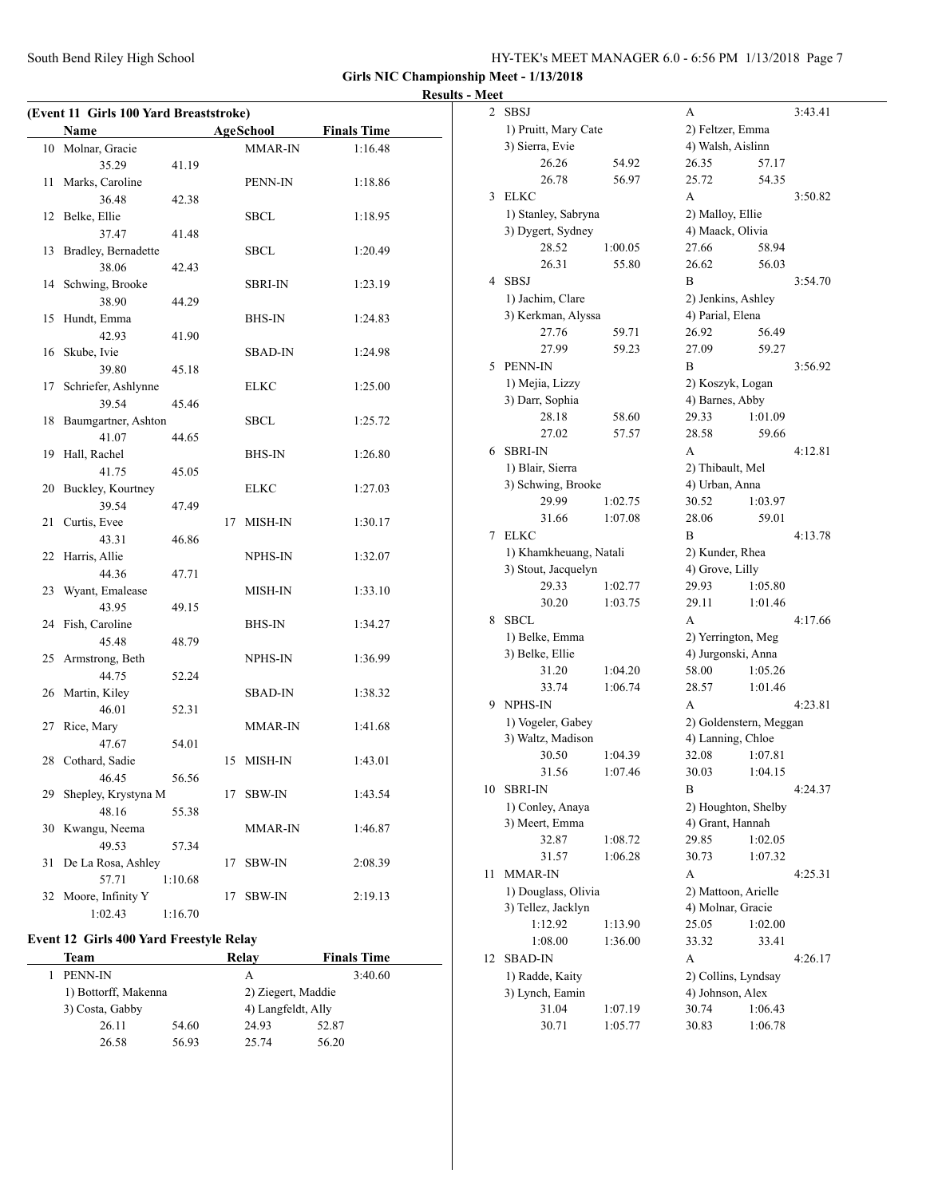| HY-TEK's MEET MANAGER 6.0 - 6:56 PM 1/13/2018 Page 7 |  |
|------------------------------------------------------|--|
|------------------------------------------------------|--|

### **Results - Meet**

|    | Name                |         |    | AgeSchool      | <b>Finals Time</b> |
|----|---------------------|---------|----|----------------|--------------------|
|    | 10 Molnar, Gracie   |         |    | MMAR-IN        | 1:16.48            |
|    | 35.29               | 41.19   |    |                |                    |
| 11 | Marks, Caroline     |         |    | PENN-IN        | 1:18.86            |
|    | 36.48               | 42.38   |    |                |                    |
|    | 12 Belke, Ellie     |         |    | SBCL           | 1:18.95            |
|    | 37.47               | 41.48   |    |                |                    |
| 13 | Bradley, Bernadette |         |    | SBCL           | 1:20.49            |
|    | 38.06               | 42.43   |    |                |                    |
|    | 14 Schwing, Brooke  |         |    | <b>SBRI-IN</b> | 1:23.19            |
|    | 38.90               | 44.29   |    |                |                    |
| 15 | Hundt, Emma         |         |    | BHS-IN         | 1:24.83            |
|    | 42.93               | 41.90   |    |                |                    |
| 16 | Skube, Ivie         |         |    | SBAD-IN        | 1:24.98            |
|    | 39.80               | 45.18   |    |                |                    |
| 17 | Schriefer, Ashlynne |         |    | ELKC           | 1:25.00            |
|    | 39.54               | 45.46   |    |                |                    |
| 18 | Baumgartner, Ashton |         |    | SBCL           | 1:25.72            |
|    | 41.07               | 44.65   |    |                |                    |
| 19 | Hall, Rachel        |         |    | BHS-IN         | 1:26.80            |
|    | 41.75               | 45.05   |    |                |                    |
| 20 | Buckley, Kourtney   |         |    | ELKC           | 1:27.03            |
|    | 39.54               | 47.49   |    |                |                    |
| 21 | Curtis, Evee        |         |    | 17 MISH-IN     | 1:30.17            |
|    | 43.31               | 46.86   |    |                |                    |
|    | 22 Harris, Allie    |         |    | NPHS-IN        | 1:32.07            |
|    | 44.36               | 47.71   |    |                |                    |
| 23 | Wyant, Emalease     |         |    | MISH-IN        | 1:33.10            |
|    | 43.95               | 49.15   |    |                |                    |
| 24 | Fish, Caroline      |         |    | <b>BHS-IN</b>  | 1:34.27            |
|    | 45.48               | 48.79   |    |                |                    |
|    | 25 Armstrong, Beth  |         |    | NPHS-IN        | 1:36.99            |
|    | 44.75               | 52.24   |    |                |                    |
|    | 26 Martin, Kiley    |         |    | SBAD-IN        | 1:38.32            |
|    | 46.01               | 52.31   |    |                |                    |
| 27 | Rice, Mary          |         |    | MMAR-IN        | 1:41.68            |
|    | 47.67               | 54.01   |    |                |                    |
|    | 28 Cothard, Sadie   |         |    | 15 MISH-IN     | 1:43.01            |
|    | 46.45               | 56.56   |    |                |                    |
| 29 | Shepley, Krystyna M |         | 17 | <b>SBW-IN</b>  | 1:43.54            |
|    | 48.16               | 55.38   |    |                |                    |
| 30 | Kwangu, Neema       |         |    | MMAR-IN        | 1:46.87            |
|    | 49.53               | 57.34   |    |                |                    |
| 31 | De La Rosa, Ashley  |         | 17 | SBW-IN         | 2:08.39            |
|    | 57.71               | 1:10.68 |    |                |                    |
| 32 | Moore, Infinity Y   |         | 17 | <b>SBW-IN</b>  | 2:19.13            |
|    | 1:02.43             | 1:16.70 |    |                |                    |
|    |                     |         |    |                |                    |

### **Event 12 Girls 400 Yard Freestyle Relay**

| Team                 |       | Relav                                    | <b>Finals Time</b> |  |
|----------------------|-------|------------------------------------------|--------------------|--|
| <b>PENN-IN</b>       |       | А                                        | 3:40.60            |  |
| 1) Bottorff, Makenna |       | 2) Ziegert, Maddie<br>4) Langfeldt, Ally |                    |  |
| 3) Costa, Gabby      |       |                                          |                    |  |
| 26.11                | 54.60 | 24.93                                    | 52.87              |  |
| 26.58                | 56.93 | 25.74                                    | 56.20              |  |

| $\overline{c}$ | <b>SBSJ</b><br>A                         |         |                                          |         | 3:43.41 |
|----------------|------------------------------------------|---------|------------------------------------------|---------|---------|
|                | 1) Pruitt, Mary Cate                     |         | 2) Feltzer, Emma                         |         |         |
|                | 3) Sierra, Evie                          |         | 4) Walsh, Aislinn                        |         |         |
|                | 26.26                                    | 54.92   | 26.35                                    | 57.17   |         |
|                | 26.78                                    | 56.97   | 25.72                                    | 54.35   |         |
| 3              | <b>ELKC</b>                              |         | A                                        |         | 3:50.82 |
|                | 1) Stanley, Sabryna<br>3) Dygert, Sydney |         | 2) Malloy, Ellie<br>4) Maack, Olivia     |         |         |
|                |                                          |         |                                          |         |         |
|                | 28.52                                    | 1:00.05 | 27.66                                    | 58.94   |         |
|                | 26.31                                    | 55.80   | 26.62                                    | 56.03   |         |
| 4              | <b>SBSJ</b>                              |         | B                                        |         | 3:54.70 |
|                | 1) Jachim, Clare                         |         | 2) Jenkins, Ashley                       |         |         |
|                | 3) Kerkman, Alyssa                       |         | 4) Parial, Elena                         |         |         |
|                | 27.76                                    | 59.71   | 26.92                                    | 56.49   |         |
|                | 27.99                                    | 59.23   | 27.09                                    | 59.27   |         |
| 5              | <b>PENN-IN</b>                           |         | B                                        |         | 3:56.92 |
|                | 1) Mejia, Lizzy                          |         | 2) Koszyk, Logan                         |         |         |
|                | 3) Darr, Sophia                          |         | 4) Barnes, Abby                          |         |         |
|                | 28.18                                    | 58.60   | 29.33                                    | 1:01.09 |         |
|                | 27.02                                    | 57.57   | 28.58                                    | 59.66   |         |
| 6              | <b>SBRI-IN</b>                           |         | A                                        |         | 4:12.81 |
|                | 1) Blair, Sierra                         |         | 2) Thibault, Mel                         |         |         |
|                | 3) Schwing, Brooke                       |         | 4) Urban, Anna                           |         |         |
|                | 29.99                                    | 1:02.75 | 30.52                                    | 1:03.97 |         |
|                | 31.66                                    | 1:07.08 | 28.06                                    | 59.01   |         |
| 7              | <b>ELKC</b>                              |         | B                                        |         | 4:13.78 |
|                | 1) Khamkheuang, Natali                   |         | 2) Kunder, Rhea                          |         |         |
|                | 3) Stout, Jacquelyn                      |         | 4) Grove, Lilly                          |         |         |
|                | 29.33                                    | 1:02.77 | 29.93                                    | 1:05.80 |         |
|                | 30.20                                    | 1:03.75 | 29.11                                    | 1:01.46 |         |
| 8              | <b>SBCL</b>                              |         | A                                        |         | 4:17.66 |
|                | 1) Belke, Emma                           |         | 2) Yerrington, Meg                       |         |         |
|                | 3) Belke, Ellie                          |         | 4) Jurgonski, Anna                       |         |         |
|                | 31.20                                    | 1:04.20 | 58.00                                    | 1:05.26 |         |
|                | 33.74                                    | 1:06.74 | 28.57                                    | 1:01.46 |         |
| 9.             | <b>NPHS-IN</b>                           |         | A                                        |         | 4:23.81 |
|                | 1) Vogeler, Gabey                        |         | 2) Goldenstern, Meggan                   |         |         |
|                | 3) Waltz, Madison                        |         | 4) Lanning, Chloe                        |         |         |
|                | 30.50                                    | 1:04.39 | 32.08                                    | 1:07.81 |         |
|                | 31.56                                    | 1:07.46 | 30.03                                    | 1:04.15 |         |
| 10             | <b>SBRI-IN</b>                           |         | B                                        |         | 4:24.37 |
|                | 1) Conley, Anaya                         |         | 2) Houghton, Shelby                      |         |         |
|                | 3) Meert, Emma                           |         | 4) Grant, Hannah                         |         |         |
|                | 32.87                                    | 1:08.72 | 29.85                                    | 1:02.05 |         |
|                | 31.57                                    | 1:06.28 | 30.73                                    | 1:07.32 |         |
| 11             | MMAR-IN                                  |         | А                                        |         | 4:25.31 |
|                | 1) Douglass, Olivia                      |         | 2) Mattoon, Arielle<br>4) Molnar, Gracie |         |         |
|                | 3) Tellez, Jacklyn<br>1:12.92            |         |                                          |         |         |
|                |                                          | 1:13.90 | 25.05<br>33.32                           | 1:02.00 |         |
|                | 1:08.00                                  | 1:36.00 |                                          | 33.41   | 4:26.17 |
| 12             | <b>SBAD-IN</b>                           |         | A                                        |         |         |
|                | 1) Radde, Kaity<br>3) Lynch, Eamin       |         | 2) Collins, Lyndsay<br>4) Johnson, Alex  |         |         |
|                | 31.04                                    | 1:07.19 | 30.74                                    | 1:06.43 |         |
|                | 30.71                                    | 1:05.77 | 30.83                                    | 1:06.78 |         |
|                |                                          |         |                                          |         |         |